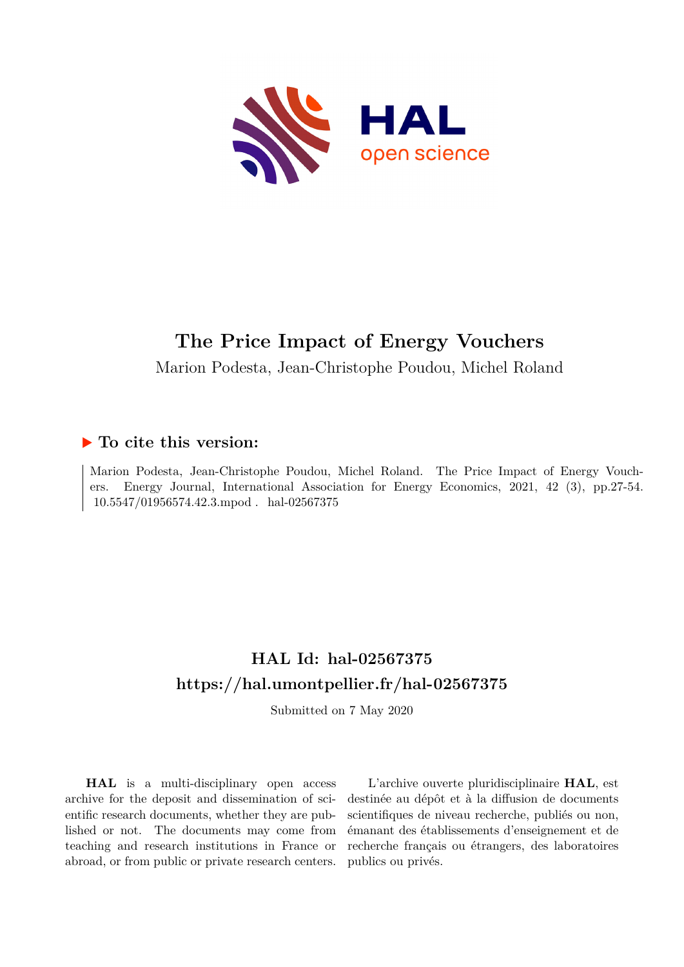

# **The Price Impact of Energy Vouchers**

Marion Podesta, Jean-Christophe Poudou, Michel Roland

### **To cite this version:**

Marion Podesta, Jean-Christophe Poudou, Michel Roland. The Price Impact of Energy Vouchers. Energy Journal, International Association for Energy Economics, 2021, 42 (3), pp.27-54. 10.5547/01956574.42.3.mpod . hal-02567375

# **HAL Id: hal-02567375 <https://hal.umontpellier.fr/hal-02567375>**

Submitted on 7 May 2020

**HAL** is a multi-disciplinary open access archive for the deposit and dissemination of scientific research documents, whether they are published or not. The documents may come from teaching and research institutions in France or abroad, or from public or private research centers.

L'archive ouverte pluridisciplinaire **HAL**, est destinée au dépôt et à la diffusion de documents scientifiques de niveau recherche, publiés ou non, émanant des établissements d'enseignement et de recherche français ou étrangers, des laboratoires publics ou privés.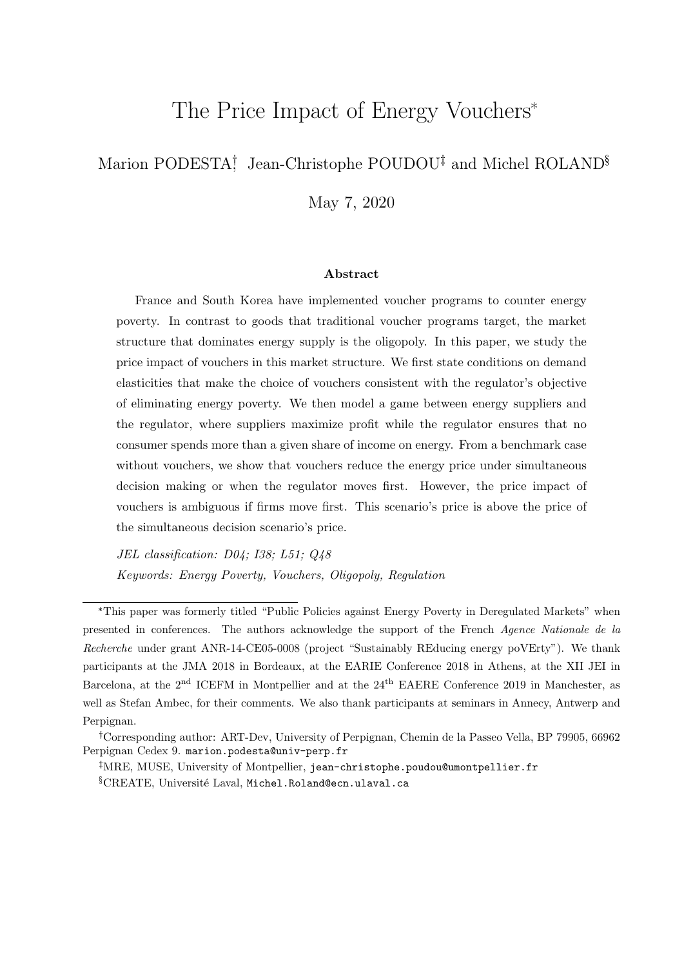# The Price Impact of Energy Vouchers\*

# Marion PODESTA<sup>†</sup>, Jean-Christophe POUDOU<sup>‡</sup> and Michel ROLAND<sup>§</sup>

May 7, 2020

#### Abstract

France and South Korea have implemented voucher programs to counter energy poverty. In contrast to goods that traditional voucher programs target, the market structure that dominates energy supply is the oligopoly. In this paper, we study the price impact of vouchers in this market structure. We first state conditions on demand elasticities that make the choice of vouchers consistent with the regulator's objective of eliminating energy poverty. We then model a game between energy suppliers and the regulator, where suppliers maximize profit while the regulator ensures that no consumer spends more than a given share of income on energy. From a benchmark case without vouchers, we show that vouchers reduce the energy price under simultaneous decision making or when the regulator moves first. However, the price impact of vouchers is ambiguous if firms move first. This scenario's price is above the price of the simultaneous decision scenario's price.

JEL classification: D04; I38; L51; Q48 Keywords: Energy Poverty, Vouchers, Oligopoly, Regulation

<sup>\*</sup>This paper was formerly titled "Public Policies against Energy Poverty in Deregulated Markets" when presented in conferences. The authors acknowledge the support of the French Agence Nationale de la Recherche under grant ANR-14-CE05-0008 (project "Sustainably REducing energy poVErty"). We thank participants at the JMA 2018 in Bordeaux, at the EARIE Conference 2018 in Athens, at the XII JEI in Barcelona, at the 2<sup>nd</sup> ICEFM in Montpellier and at the 24<sup>th</sup> EAERE Conference 2019 in Manchester, as well as Stefan Ambec, for their comments. We also thank participants at seminars in Annecy, Antwerp and Perpignan.

Corresponding author: ART-Dev, University of Perpignan, Chemin de la Passeo Vella, BP 79905, 66962 Perpignan Cedex 9. marion.podesta@univ-perp.fr

MRE, MUSE, University of Montpellier, jean-christophe.poudou@umontpellier.fr  $\S$ CREATE, Université Laval, Michel.Roland@ecn.ulaval.ca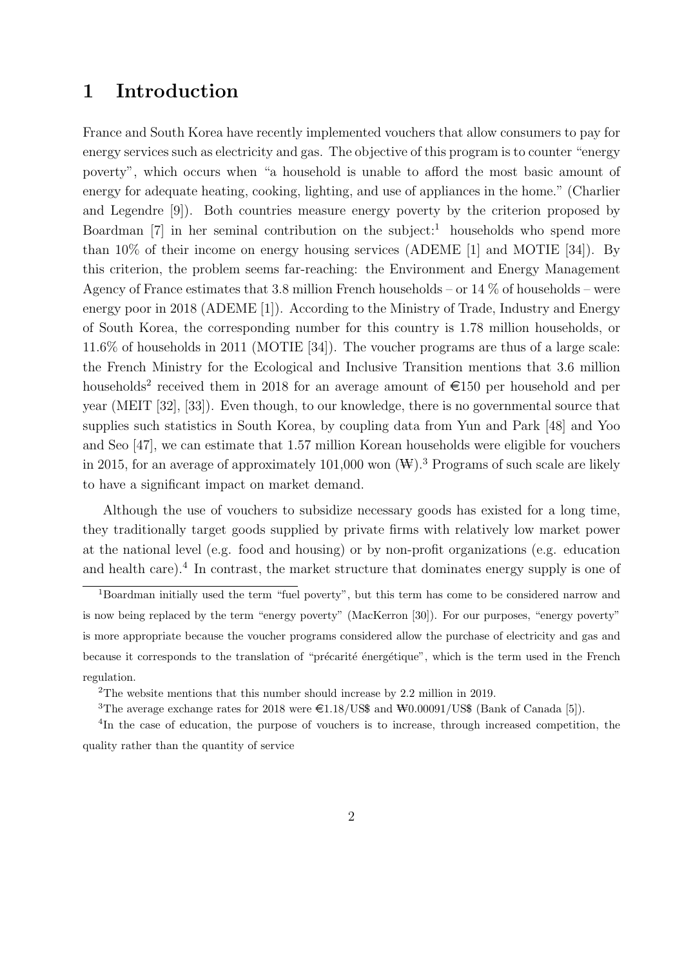# 1 Introduction

France and South Korea have recently implemented vouchers that allow consumers to pay for energy services such as electricity and gas. The objective of this program is to counter "energy poverty", which occurs when "a household is unable to afford the most basic amount of energy for adequate heating, cooking, lighting, and use of appliances in the home." (Charlier and Legendre [9]). Both countries measure energy poverty by the criterion proposed by Boardman  $[7]$  in her seminal contribution on the subject:<sup>1</sup> households who spend more than 10% of their income on energy housing services (ADEME [1] and MOTIE [34]). By this criterion, the problem seems far-reaching: the Environment and Energy Management Agency of France estimates that 3.8 million French households – or  $14\%$  of households – were energy poor in 2018 (ADEME [1]). According to the Ministry of Trade, Industry and Energy of South Korea, the corresponding number for this country is 1.78 million households, or 11.6% of households in 2011 (MOTIE [34]). The voucher programs are thus of a large scale: the French Ministry for the Ecological and Inclusive Transition mentions that 3.6 million households<sup>2</sup> received them in 2018 for an average amount of  $\epsilon$ 150 per household and per year (MEIT [32], [33]). Even though, to our knowledge, there is no governmental source that supplies such statistics in South Korea, by coupling data from Yun and Park [48] and Yoo and Seo [47], we can estimate that 1.57 million Korean households were eligible for vouchers in 2015, for an average of approximately 101,000 won  $(\mathbb{W})$ .<sup>3</sup> Programs of such scale are likely to have a significant impact on market demand.

Although the use of vouchers to subsidize necessary goods has existed for a long time, they traditionally target goods supplied by private firms with relatively low market power at the national level (e.g. food and housing) or by non-profit organizations (e.g. education and health care).<sup>4</sup> In contrast, the market structure that dominates energy supply is one of

<sup>1</sup>Boardman initially used the term "fuel poverty", but this term has come to be considered narrow and is now being replaced by the term "energy poverty" (MacKerron [30]). For our purposes, "energy poverty" is more appropriate because the voucher programs considered allow the purchase of electricity and gas and because it corresponds to the translation of "précarité énergétique", which is the term used in the French regulation.

<sup>2</sup>The website mentions that this number should increase by 2.2 million in 2019.

<sup>&</sup>lt;sup>3</sup>The average exchange rates for 2018 were  $\epsilon$ 1.18/US\$ and  $\text{W0.00091/US}$ \$ (Bank of Canada [5]).

<sup>&</sup>lt;sup>4</sup>In the case of education, the purpose of vouchers is to increase, through increased competition, the quality rather than the quantity of service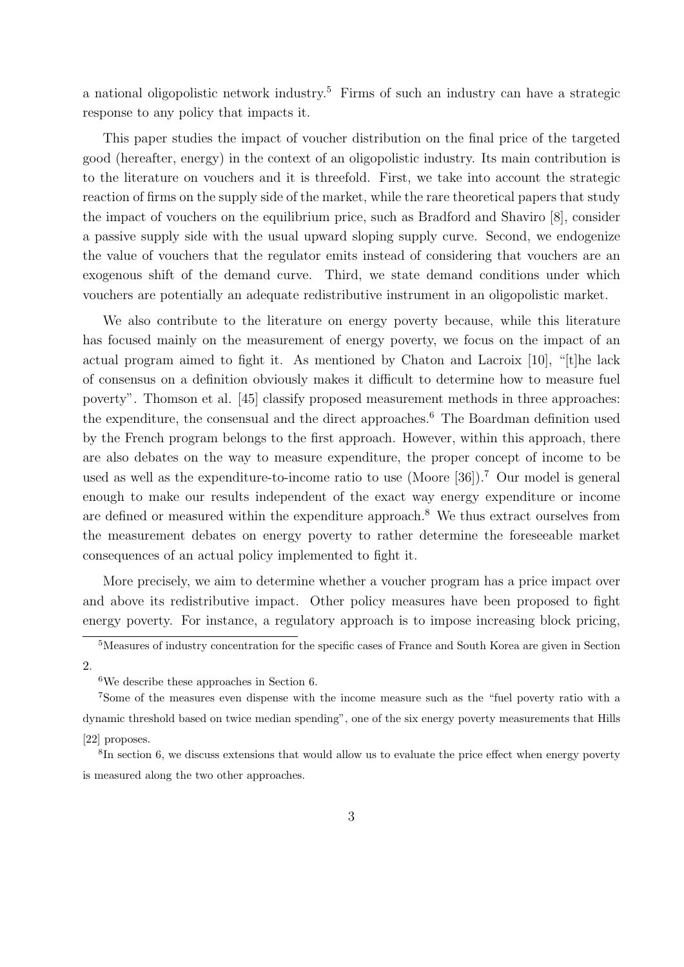a national oligopolistic network industry.<sup>5</sup> Firms of such an industry can have a strategic response to any policy that impacts it.

This paper studies the impact of voucher distribution on the final price of the targeted good (hereafter, energy) in the context of an oligopolistic industry. Its main contribution is to the literature on vouchers and it is threefold. First, we take into account the strategic reaction of firms on the supply side of the market, while the rare theoretical papers that study the impact of vouchers on the equilibrium price, such as Bradford and Shaviro [8], consider a passive supply side with the usual upward sloping supply curve. Second, we endogenize the value of vouchers that the regulator emits instead of considering that vouchers are an exogenous shift of the demand curve. Third, we state demand conditions under which vouchers are potentially an adequate redistributive instrument in an oligopolistic market.

We also contribute to the literature on energy poverty because, while this literature has focused mainly on the measurement of energy poverty, we focus on the impact of an actual program aimed to fight it. As mentioned by Chaton and Lacroix [10], "[t]he lack of consensus on a definition obviously makes it difficult to determine how to measure fuel poverty". Thomson et al. [45] classify proposed measurement methods in three approaches: the expenditure, the consensual and the direct approaches.<sup>6</sup> The Boardman definition used by the French program belongs to the first approach. However, within this approach, there are also debates on the way to measure expenditure, the proper concept of income to be used as well as the expenditure-to-income ratio to use (Moore [36]).<sup>7</sup> Our model is general enough to make our results independent of the exact way energy expenditure or income are defined or measured within the expenditure approach.<sup>8</sup> We thus extract ourselves from the measurement debates on energy poverty to rather determine the foreseeable market consequences of an actual policy implemented to fight it.

More precisely, we aim to determine whether a voucher program has a price impact over and above its redistributive impact. Other policy measures have been proposed to fight energy poverty. For instance, a regulatory approach is to impose increasing block pricing,

<sup>5</sup>Measures of industry concentration for the specific cases of France and South Korea are given in Section 2.

<sup>6</sup>We describe these approaches in Section 6.

<sup>7</sup>Some of the measures even dispense with the income measure such as the "fuel poverty ratio with a dynamic threshold based on twice median spending", one of the six energy poverty measurements that Hills [22] proposes.

<sup>&</sup>lt;sup>8</sup>In section 6, we discuss extensions that would allow us to evaluate the price effect when energy poverty is measured along the two other approaches.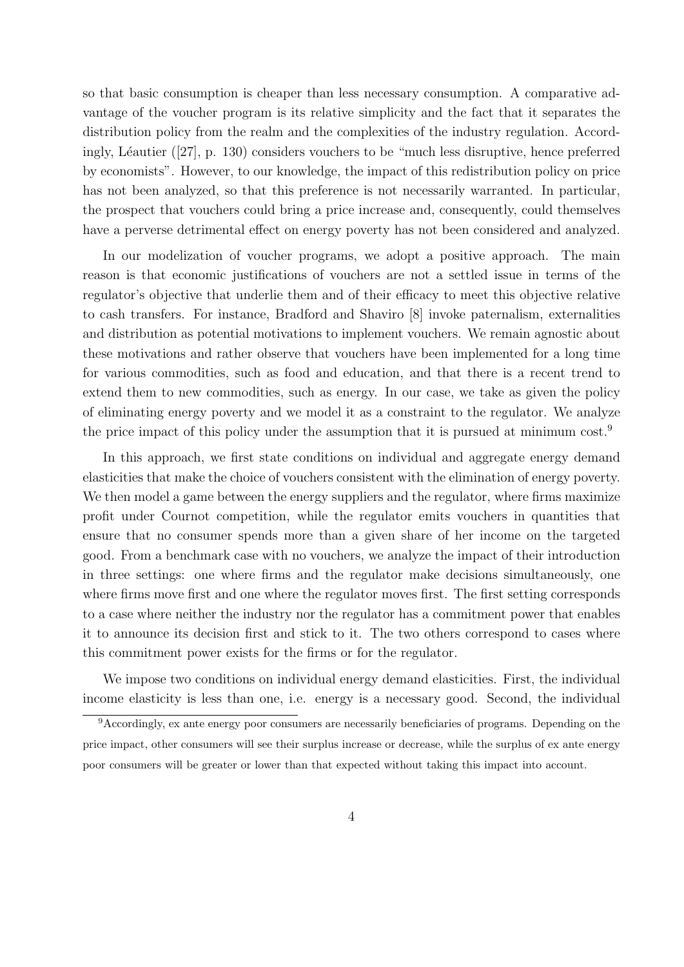so that basic consumption is cheaper than less necessary consumption. A comparative advantage of the voucher program is its relative simplicity and the fact that it separates the distribution policy from the realm and the complexities of the industry regulation. Accordingly, Léautier ([27], p. 130) considers vouchers to be "much less disruptive, hence preferred by economists". However, to our knowledge, the impact of this redistribution policy on price has not been analyzed, so that this preference is not necessarily warranted. In particular, the prospect that vouchers could bring a price increase and, consequently, could themselves have a perverse detrimental effect on energy poverty has not been considered and analyzed.

In our modelization of voucher programs, we adopt a positive approach. The main reason is that economic justifications of vouchers are not a settled issue in terms of the regulator's objective that underlie them and of their efficacy to meet this objective relative to cash transfers. For instance, Bradford and Shaviro [8] invoke paternalism, externalities and distribution as potential motivations to implement vouchers. We remain agnostic about these motivations and rather observe that vouchers have been implemented for a long time for various commodities, such as food and education, and that there is a recent trend to extend them to new commodities, such as energy. In our case, we take as given the policy of eliminating energy poverty and we model it as a constraint to the regulator. We analyze the price impact of this policy under the assumption that it is pursued at minimum cost.<sup>9</sup>

In this approach, we first state conditions on individual and aggregate energy demand elasticities that make the choice of vouchers consistent with the elimination of energy poverty. We then model a game between the energy suppliers and the regulator, where firms maximize profit under Cournot competition, while the regulator emits vouchers in quantities that ensure that no consumer spends more than a given share of her income on the targeted good. From a benchmark case with no vouchers, we analyze the impact of their introduction in three settings: one where firms and the regulator make decisions simultaneously, one where firms move first and one where the regulator moves first. The first setting corresponds to a case where neither the industry nor the regulator has a commitment power that enables it to announce its decision first and stick to it. The two others correspond to cases where this commitment power exists for the firms or for the regulator.

We impose two conditions on individual energy demand elasticities. First, the individual income elasticity is less than one, i.e. energy is a necessary good. Second, the individual

<sup>9</sup>Accordingly, ex ante energy poor consumers are necessarily beneficiaries of programs. Depending on the price impact, other consumers will see their surplus increase or decrease, while the surplus of ex ante energy poor consumers will be greater or lower than that expected without taking this impact into account.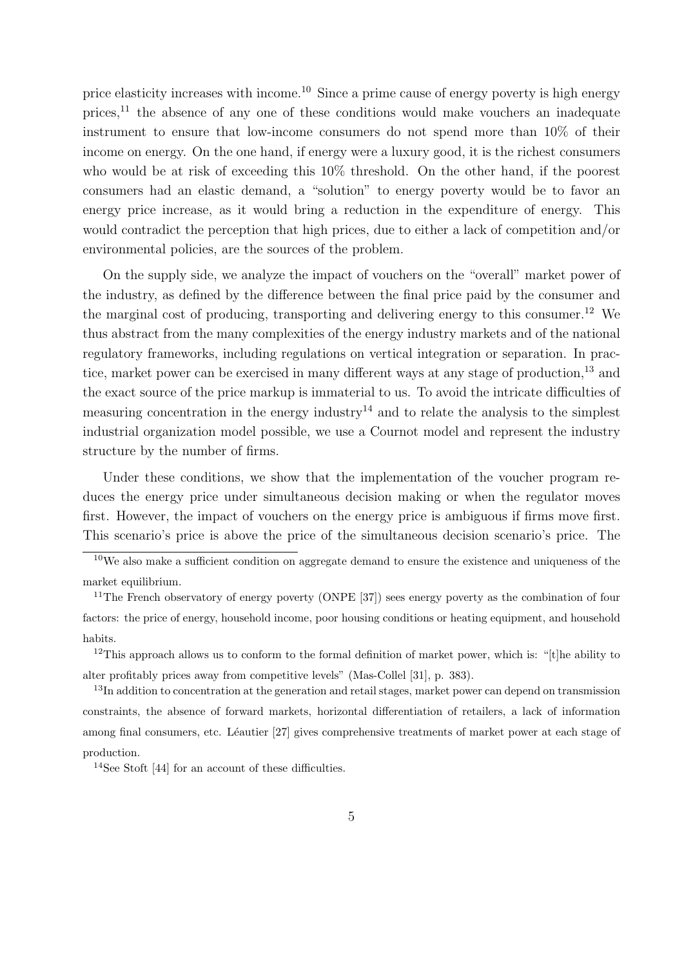price elasticity increases with income.<sup>10</sup> Since a prime cause of energy poverty is high energy prices, $^{11}$  the absence of any one of these conditions would make vouchers an inadequate instrument to ensure that low-income consumers do not spend more than 10% of their income on energy. On the one hand, if energy were a luxury good, it is the richest consumers who would be at risk of exceeding this  $10\%$  threshold. On the other hand, if the poorest consumers had an elastic demand, a "solution" to energy poverty would be to favor an energy price increase, as it would bring a reduction in the expenditure of energy. This would contradict the perception that high prices, due to either a lack of competition and/or environmental policies, are the sources of the problem.

On the supply side, we analyze the impact of vouchers on the "overall" market power of the industry, as defined by the difference between the final price paid by the consumer and the marginal cost of producing, transporting and delivering energy to this consumer.<sup>12</sup> We thus abstract from the many complexities of the energy industry markets and of the national regulatory frameworks, including regulations on vertical integration or separation. In practice, market power can be exercised in many different ways at any stage of production,<sup>13</sup> and the exact source of the price markup is immaterial to us. To avoid the intricate difficulties of measuring concentration in the energy industry<sup>14</sup> and to relate the analysis to the simplest industrial organization model possible, we use a Cournot model and represent the industry structure by the number of firms.

Under these conditions, we show that the implementation of the voucher program reduces the energy price under simultaneous decision making or when the regulator moves first. However, the impact of vouchers on the energy price is ambiguous if firms move first. This scenario's price is above the price of the simultaneous decision scenario's price. The

<sup>&</sup>lt;sup>10</sup>We also make a sufficient condition on aggregate demand to ensure the existence and uniqueness of the market equilibrium.

<sup>&</sup>lt;sup>11</sup>The French observatory of energy poverty (ONPE [37]) sees energy poverty as the combination of four factors: the price of energy, household income, poor housing conditions or heating equipment, and household habits.

<sup>&</sup>lt;sup>12</sup>This approach allows us to conform to the formal definition of market power, which is: "[t]he ability to alter profitably prices away from competitive levels" (Mas-Collel [31], p. 383).

<sup>&</sup>lt;sup>13</sup>In addition to concentration at the generation and retail stages, market power can depend on transmission constraints, the absence of forward markets, horizontal differentiation of retailers, a lack of information among final consumers, etc. Léautier [27] gives comprehensive treatments of market power at each stage of production.

<sup>14</sup>See Stoft [44] for an account of these difficulties.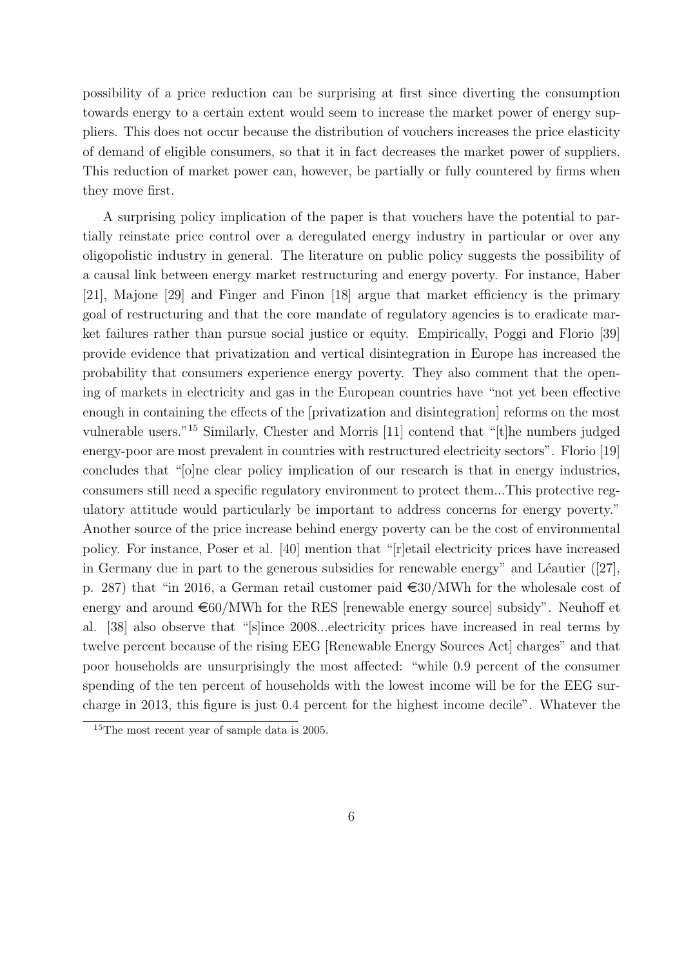possibility of a price reduction can be surprising at first since diverting the consumption towards energy to a certain extent would seem to increase the market power of energy suppliers. This does not occur because the distribution of vouchers increases the price elasticity of demand of eligible consumers, so that it in fact decreases the market power of suppliers. This reduction of market power can, however, be partially or fully countered by firms when they move first.

A surprising policy implication of the paper is that vouchers have the potential to partially reinstate price control over a deregulated energy industry in particular or over any oligopolistic industry in general. The literature on public policy suggests the possibility of a causal link between energy market restructuring and energy poverty. For instance, Haber [21], Majone [29] and Finger and Finon [18] argue that market efficiency is the primary goal of restructuring and that the core mandate of regulatory agencies is to eradicate market failures rather than pursue social justice or equity. Empirically, Poggi and Florio [39] provide evidence that privatization and vertical disintegration in Europe has increased the probability that consumers experience energy poverty. They also comment that the opening of markets in electricity and gas in the European countries have "not yet been effective enough in containing the effects of the [privatization and disintegration] reforms on the most vulnerable users."<sup>15</sup> Similarly, Chester and Morris [11] contend that "[t]he numbers judged energy-poor are most prevalent in countries with restructured electricity sectors". Florio [19] concludes that "[o]ne clear policy implication of our research is that in energy industries, consumers still need a specific regulatory environment to protect them...This protective regulatory attitude would particularly be important to address concerns for energy poverty." Another source of the price increase behind energy poverty can be the cost of environmental policy. For instance, Poser et al. [40] mention that "[r]etail electricity prices have increased in Germany due in part to the generous subsidies for renewable energy" and Léautier  $([27],$ p. 287) that "in 2016, a German retail customer paid  $\epsilon$ 30/MWh for the wholesale cost of energy and around  $\epsilon$ 60/MWh for the RES [renewable energy source] subsidy". Neuhoff et al. [38] also observe that "[s]ince 2008...electricity prices have increased in real terms by twelve percent because of the rising EEG [Renewable Energy Sources Act] charges" and that poor households are unsurprisingly the most affected: "while 0.9 percent of the consumer spending of the ten percent of households with the lowest income will be for the EEG surcharge in 2013, this figure is just 0.4 percent for the highest income decile". Whatever the

<sup>&</sup>lt;sup>15</sup>The most recent year of sample data is 2005.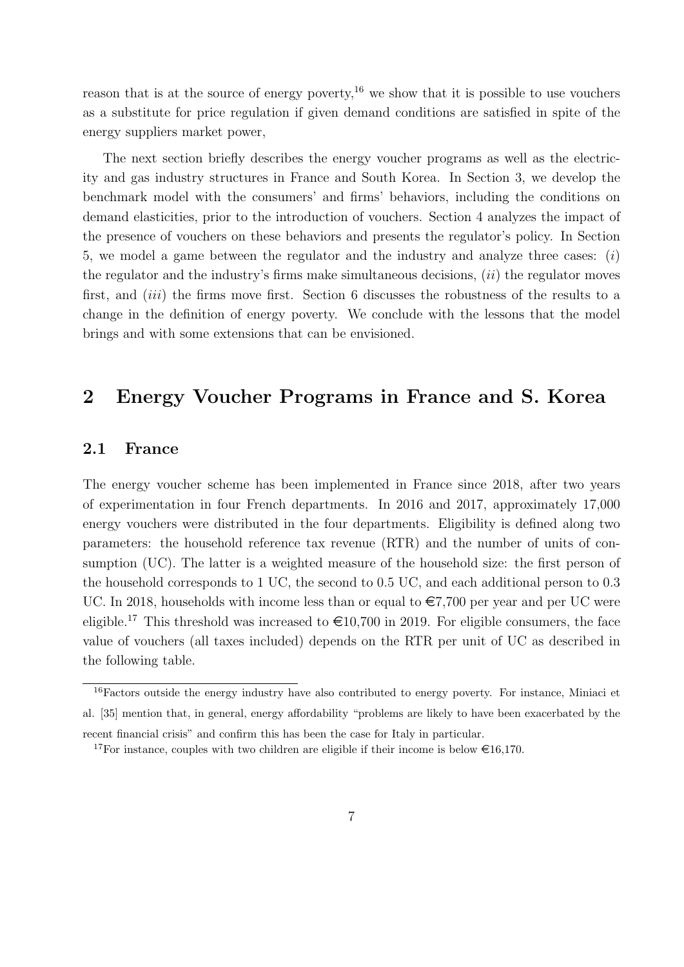reason that is at the source of energy poverty,<sup>16</sup> we show that it is possible to use vouchers as a substitute for price regulation if given demand conditions are satisfied in spite of the energy suppliers market power,

The next section briefly describes the energy voucher programs as well as the electricity and gas industry structures in France and South Korea. In Section 3, we develop the benchmark model with the consumers' and firms' behaviors, including the conditions on demand elasticities, prior to the introduction of vouchers. Section 4 analyzes the impact of the presence of vouchers on these behaviors and presents the regulator's policy. In Section 5, we model a game between the regulator and the industry and analyze three cases: (i) the regulator and the industry's firms make simultaneous decisions,  $(ii)$  the regulator moves first, and *(iii)* the firms move first. Section 6 discusses the robustness of the results to a change in the definition of energy poverty. We conclude with the lessons that the model brings and with some extensions that can be envisioned.

# 2 Energy Voucher Programs in France and S. Korea

### 2.1 France

The energy voucher scheme has been implemented in France since 2018, after two years of experimentation in four French departments. In 2016 and 2017, approximately 17,000 energy vouchers were distributed in the four departments. Eligibility is defined along two parameters: the household reference tax revenue (RTR) and the number of units of consumption (UC). The latter is a weighted measure of the household size: the first person of the household corresponds to 1 UC, the second to 0.5 UC, and each additional person to 0.3 UC. In 2018, households with income less than or equal to  $\epsilon$ 7,700 per year and per UC were eligible.<sup>17</sup> This threshold was increased to  $\epsilon$ 10,700 in 2019. For eligible consumers, the face value of vouchers (all taxes included) depends on the RTR per unit of UC as described in the following table.

<sup>&</sup>lt;sup>16</sup>Factors outside the energy industry have also contributed to energy poverty. For instance, Miniaci et al. [35] mention that, in general, energy affordability "problems are likely to have been exacerbated by the recent financial crisis" and confirm this has been the case for Italy in particular.

<sup>&</sup>lt;sup>17</sup>For instance, couples with two children are eligible if their income is below  $\epsilon$ 16,170.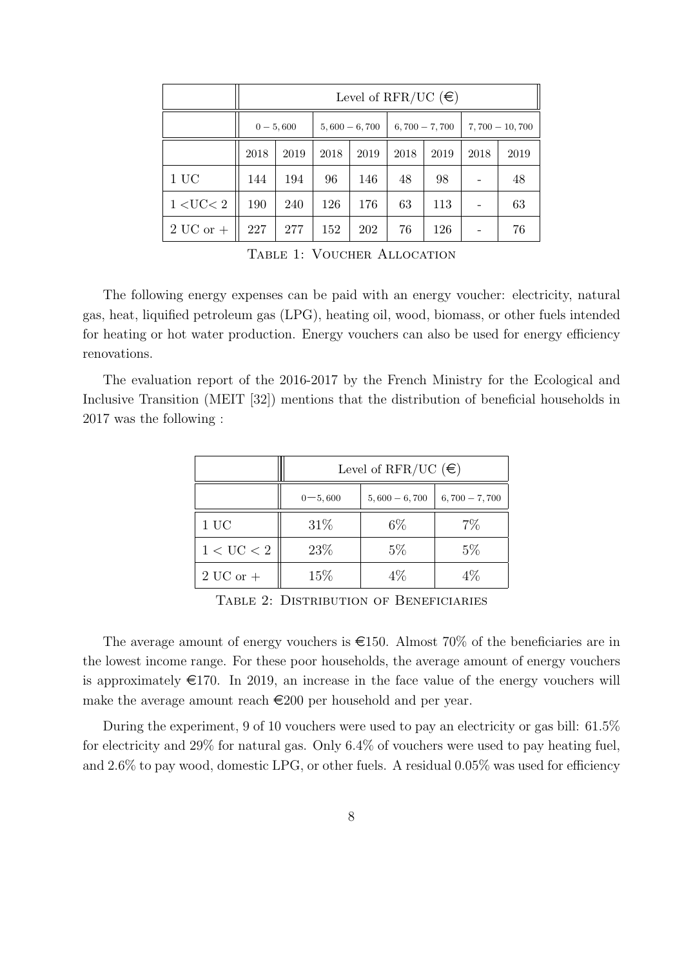|                        | Level of RFR/UC $(\epsilon)$ |      |                 |      |                 |      |                  |      |
|------------------------|------------------------------|------|-----------------|------|-----------------|------|------------------|------|
|                        | $0 - 5,600$                  |      | $5,600 - 6,700$ |      | $6,700 - 7,700$ |      | $7,700 - 10,700$ |      |
|                        | 2018                         | 2019 | 2018            | 2019 | 2018            | 2019 | 2018             | 2019 |
| 1UC                    | 144                          | 194  | 96              | 146  | 48              | 98   |                  | 48   |
| 1 < U <sub>C</sub> < 2 | 190                          | 240  | 126             | 176  | 63              | 113  |                  | 63   |
| $2 \mathrm{UC}$ or $+$ | 227                          | 277  | 152             | 202  | 76              | 126  |                  | 76   |

TABLE 1: VOUCHER ALLOCATION

The following energy expenses can be paid with an energy voucher: electricity, natural gas, heat, liquified petroleum gas (LPG), heating oil, wood, biomass, or other fuels intended for heating or hot water production. Energy vouchers can also be used for energy efficiency renovations.

The evaluation report of the 2016-2017 by the French Ministry for the Ecological and Inclusive Transition (MEIT [32]) mentions that the distribution of beneficial households in 2017 was the following :

|                       | Level of RFR/UC $(\epsilon)$ |                 |                 |  |  |  |
|-----------------------|------------------------------|-----------------|-----------------|--|--|--|
|                       | $0 - 5,600$                  | $5,600 - 6,700$ | $6,700 - 7,700$ |  |  |  |
| 1UC                   | 31%                          | $6\%$           | $7\%$           |  |  |  |
| $1 < U\mathrm{C} < 2$ | 23%                          | $5\%$           | $5\%$           |  |  |  |
| $2UC$ or $+$          | 15\%                         | 4%              | 4%              |  |  |  |

Table 2: Distribution of Beneficiaries

The average amount of energy vouchers is  $\epsilon$ 150. Almost 70% of the beneficiaries are in the lowest income range. For these poor households, the average amount of energy vouchers is approximately  $\epsilon$ 170. In 2019, an increase in the face value of the energy vouchers will make the average amount reach  $\in 200$  per household and per year.

During the experiment, 9 of 10 vouchers were used to pay an electricity or gas bill: 61.5% for electricity and 29% for natural gas. Only 6.4% of vouchers were used to pay heating fuel, and 2.6% to pay wood, domestic LPG, or other fuels. A residual 0.05% was used for efficiency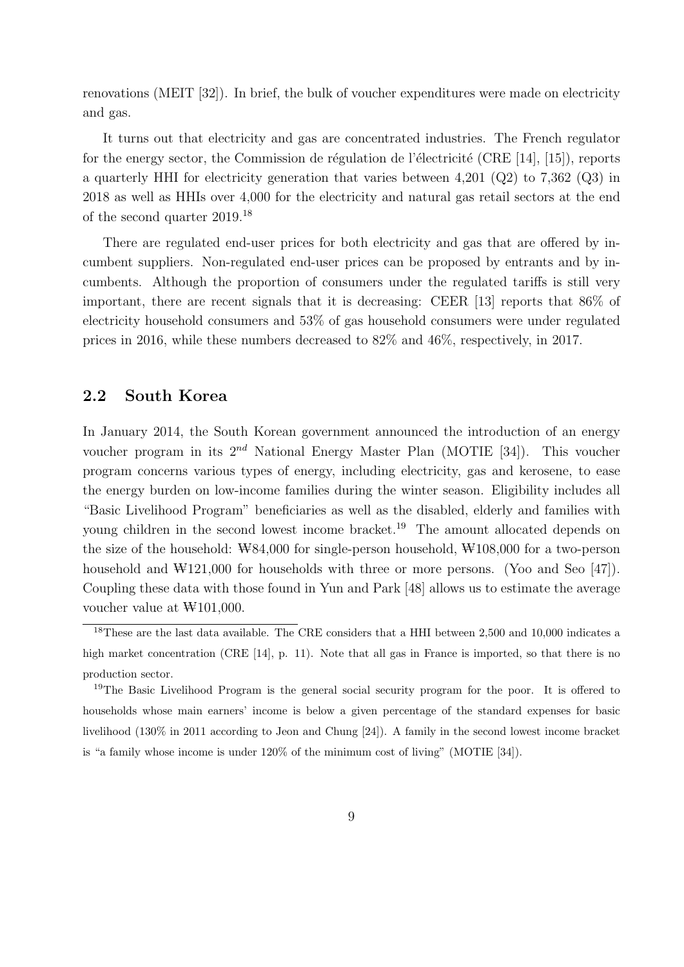renovations (MEIT [32]). In brief, the bulk of voucher expenditures were made on electricity and gas.

It turns out that electricity and gas are concentrated industries. The French regulator for the energy sector, the Commission de régulation de l'électricité (CRE [14], [15]), reports a quarterly HHI for electricity generation that varies between 4,201 (Q2) to 7,362 (Q3) in 2018 as well as HHIs over 4,000 for the electricity and natural gas retail sectors at the end of the second quarter 2019.<sup>18</sup>

There are regulated end-user prices for both electricity and gas that are offered by incumbent suppliers. Non-regulated end-user prices can be proposed by entrants and by incumbents. Although the proportion of consumers under the regulated tariffs is still very important, there are recent signals that it is decreasing: CEER [13] reports that 86% of electricity household consumers and 53% of gas household consumers were under regulated prices in 2016, while these numbers decreased to 82% and 46%, respectively, in 2017.

### 2.2 South Korea

In January 2014, the South Korean government announced the introduction of an energy voucher program in its  $2^{nd}$  National Energy Master Plan (MOTIE [34]). This voucher program concerns various types of energy, including electricity, gas and kerosene, to ease the energy burden on low-income families during the winter season. Eligibility includes all "Basic Livelihood Program" beneficiaries as well as the disabled, elderly and families with young children in the second lowest income bracket.<sup>19</sup> The amount allocated depends on the size of the household:  $W84,000$  for single-person household,  $W108,000$  for a two-person household and  $\mathcal{W}121,000$  for households with three or more persons. (Yoo and Seo [47]). Coupling these data with those found in Yun and Park [48] allows us to estimate the average voucher value at  $\text{W101,000}$ .

<sup>&</sup>lt;sup>18</sup>These are the last data available. The CRE considers that a HHI between 2,500 and 10,000 indicates a high market concentration (CRE [14], p. 11). Note that all gas in France is imported, so that there is no production sector.

<sup>&</sup>lt;sup>19</sup>The Basic Livelihood Program is the general social security program for the poor. It is offered to households whose main earners' income is below a given percentage of the standard expenses for basic livelihood (130% in 2011 according to Jeon and Chung [24]). A family in the second lowest income bracket is "a family whose income is under 120% of the minimum cost of living" (MOTIE [34]).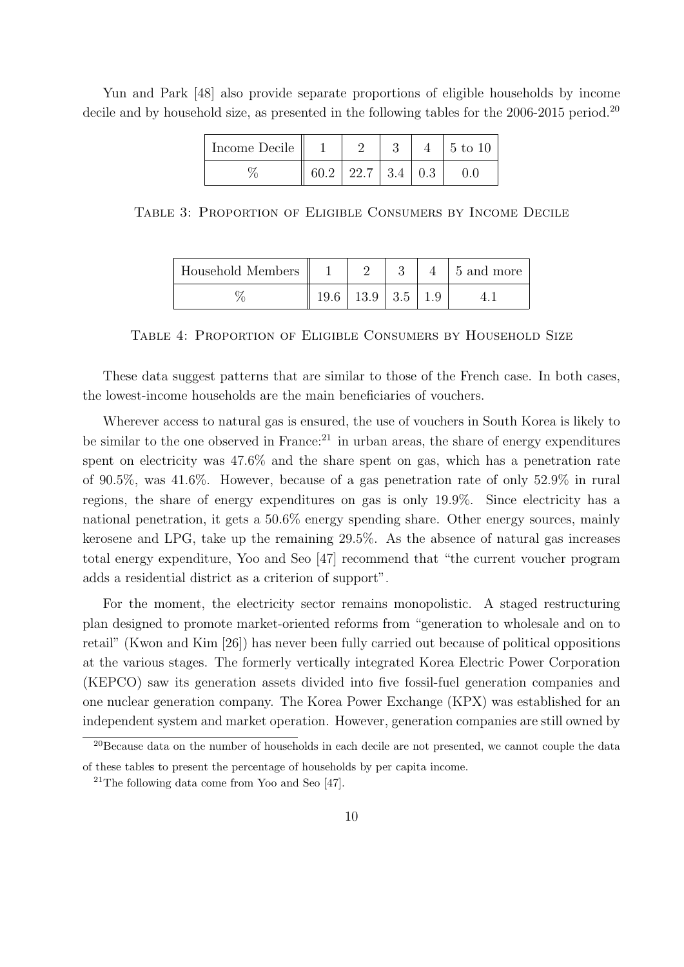| Income Decile |      |                  |  | 5 to 10 |
|---------------|------|------------------|--|---------|
|               | 60.2 | 22.7   3.4   0.3 |  |         |

Yun and Park [48] also provide separate proportions of eligible households by income decile and by household size, as presented in the following tables for the 2006-2015 period.<sup>20</sup>

Table 3: Proportion of Eligible Consumers by Income Decile

| Household Members |      |              |  | 5 and more |
|-------------------|------|--------------|--|------------|
|                   | 19.6 | $13.9$   3.5 |  |            |

Table 4: Proportion of Eligible Consumers by Household Size

These data suggest patterns that are similar to those of the French case. In both cases, the lowest-income households are the main beneficiaries of vouchers.

Wherever access to natural gas is ensured, the use of vouchers in South Korea is likely to be similar to the one observed in France:<sup>21</sup> in urban areas, the share of energy expenditures spent on electricity was 47.6% and the share spent on gas, which has a penetration rate of 90.5%, was 41.6%. However, because of a gas penetration rate of only 52.9% in rural regions, the share of energy expenditures on gas is only 19.9%. Since electricity has a national penetration, it gets a 50.6% energy spending share. Other energy sources, mainly kerosene and LPG, take up the remaining 29.5%. As the absence of natural gas increases total energy expenditure, Yoo and Seo [47] recommend that "the current voucher program adds a residential district as a criterion of support".

For the moment, the electricity sector remains monopolistic. A staged restructuring plan designed to promote market-oriented reforms from "generation to wholesale and on to retail" (Kwon and Kim [26]) has never been fully carried out because of political oppositions at the various stages. The formerly vertically integrated Korea Electric Power Corporation (KEPCO) saw its generation assets divided into five fossil-fuel generation companies and one nuclear generation company. The Korea Power Exchange (KPX) was established for an independent system and market operation. However, generation companies are still owned by

<sup>&</sup>lt;sup>20</sup>Because data on the number of households in each decile are not presented, we cannot couple the data of these tables to present the percentage of households by per capita income.

 $21$ The following data come from Yoo and Seo [47].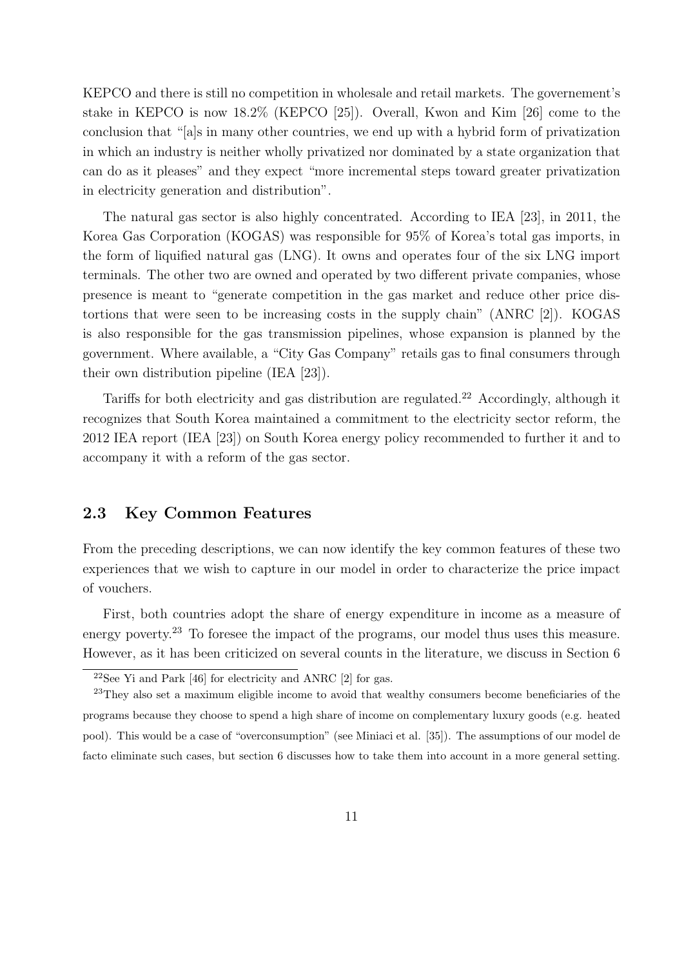KEPCO and there is still no competition in wholesale and retail markets. The governement's stake in KEPCO is now 18.2% (KEPCO [25]). Overall, Kwon and Kim [26] come to the conclusion that "[a]s in many other countries, we end up with a hybrid form of privatization in which an industry is neither wholly privatized nor dominated by a state organization that can do as it pleases" and they expect "more incremental steps toward greater privatization in electricity generation and distribution".

The natural gas sector is also highly concentrated. According to IEA [23], in 2011, the Korea Gas Corporation (KOGAS) was responsible for 95% of Korea's total gas imports, in the form of liquified natural gas (LNG). It owns and operates four of the six LNG import terminals. The other two are owned and operated by two different private companies, whose presence is meant to "generate competition in the gas market and reduce other price distortions that were seen to be increasing costs in the supply chain" (ANRC [2]). KOGAS is also responsible for the gas transmission pipelines, whose expansion is planned by the government. Where available, a "City Gas Company" retails gas to final consumers through their own distribution pipeline (IEA [23]).

Tariffs for both electricity and gas distribution are regulated.<sup>22</sup> Accordingly, although it recognizes that South Korea maintained a commitment to the electricity sector reform, the 2012 IEA report (IEA [23]) on South Korea energy policy recommended to further it and to accompany it with a reform of the gas sector.

### 2.3 Key Common Features

From the preceding descriptions, we can now identify the key common features of these two experiences that we wish to capture in our model in order to characterize the price impact of vouchers.

First, both countries adopt the share of energy expenditure in income as a measure of energy poverty.<sup>23</sup> To foresee the impact of the programs, our model thus uses this measure. However, as it has been criticized on several counts in the literature, we discuss in Section 6

 $22$ See Yi and Park [46] for electricity and ANRC [2] for gas.

<sup>&</sup>lt;sup>23</sup>They also set a maximum eligible income to avoid that wealthy consumers become beneficiaries of the programs because they choose to spend a high share of income on complementary luxury goods (e.g. heated pool). This would be a case of "overconsumption" (see Miniaci et al. [35]). The assumptions of our model de facto eliminate such cases, but section 6 discusses how to take them into account in a more general setting.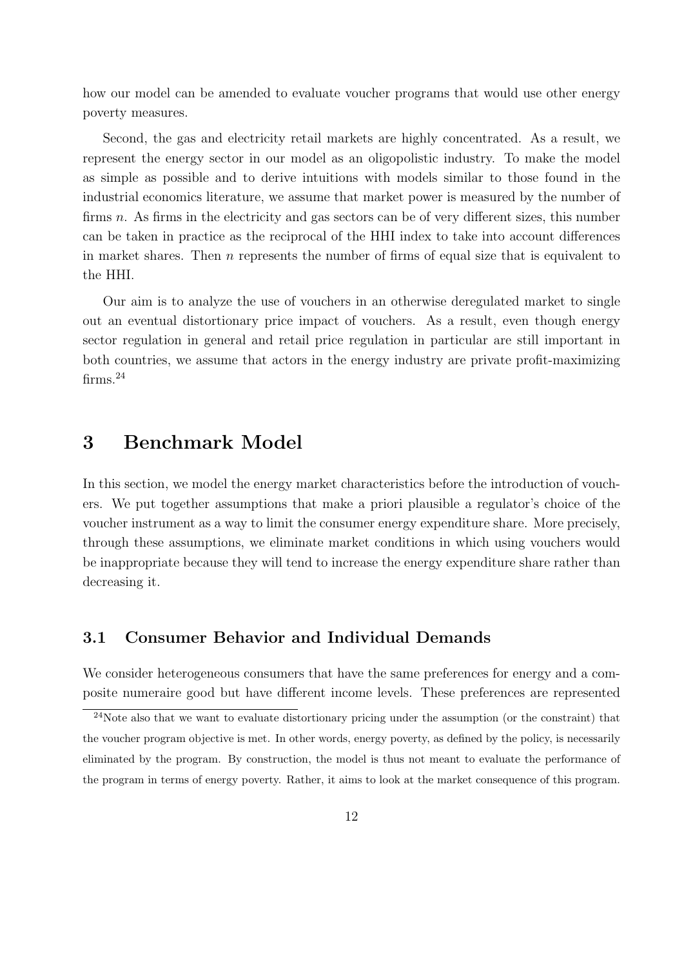how our model can be amended to evaluate voucher programs that would use other energy poverty measures.

Second, the gas and electricity retail markets are highly concentrated. As a result, we represent the energy sector in our model as an oligopolistic industry. To make the model as simple as possible and to derive intuitions with models similar to those found in the industrial economics literature, we assume that market power is measured by the number of firms n. As firms in the electricity and gas sectors can be of very different sizes, this number can be taken in practice as the reciprocal of the HHI index to take into account differences in market shares. Then  $n$  represents the number of firms of equal size that is equivalent to the HHI.

Our aim is to analyze the use of vouchers in an otherwise deregulated market to single out an eventual distortionary price impact of vouchers. As a result, even though energy sector regulation in general and retail price regulation in particular are still important in both countries, we assume that actors in the energy industry are private profit-maximizing firms. $24$ 

## 3 Benchmark Model

In this section, we model the energy market characteristics before the introduction of vouchers. We put together assumptions that make a priori plausible a regulator's choice of the voucher instrument as a way to limit the consumer energy expenditure share. More precisely, through these assumptions, we eliminate market conditions in which using vouchers would be inappropriate because they will tend to increase the energy expenditure share rather than decreasing it.

### 3.1 Consumer Behavior and Individual Demands

We consider heterogeneous consumers that have the same preferences for energy and a composite numeraire good but have different income levels. These preferences are represented

 $^{24}$ Note also that we want to evaluate distortionary pricing under the assumption (or the constraint) that the voucher program objective is met. In other words, energy poverty, as defined by the policy, is necessarily eliminated by the program. By construction, the model is thus not meant to evaluate the performance of the program in terms of energy poverty. Rather, it aims to look at the market consequence of this program.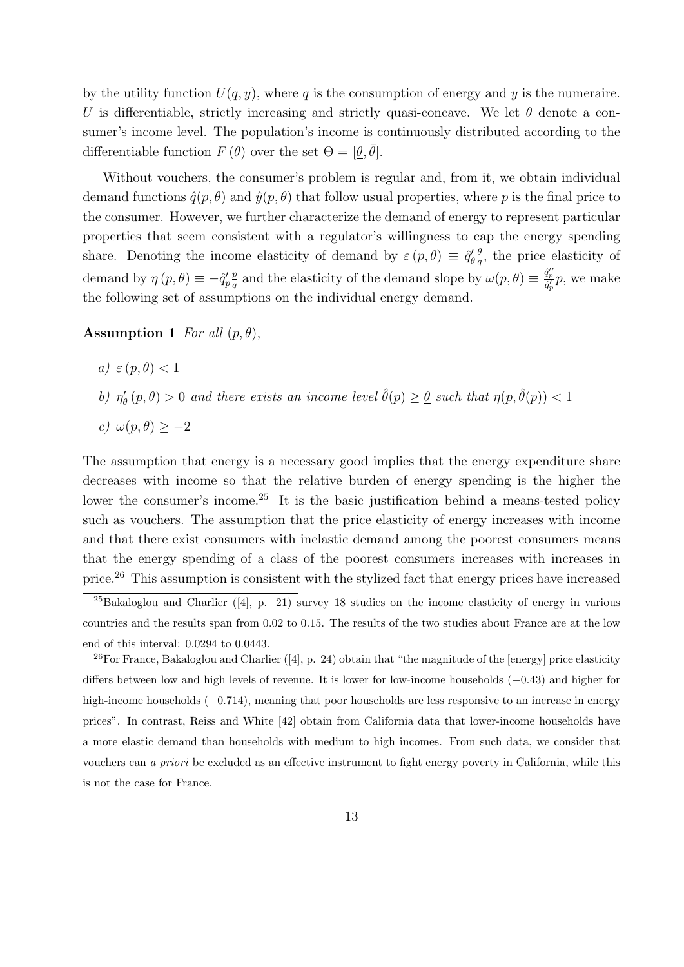by the utility function  $U(q, y)$ , where q is the consumption of energy and y is the numeraire. U is differentiable, strictly increasing and strictly quasi-concave. We let  $\theta$  denote a consumer's income level. The population's income is continuously distributed according to the differentiable function  $F(\theta)$  over the set  $\Theta = [\underline{\theta}, \overline{\theta}]$ .

Without vouchers, the consumer's problem is regular and, from it, we obtain individual demand functions  $\hat{q}(p, \theta)$  and  $\hat{y}(p, \theta)$  that follow usual properties, where p is the final price to the consumer. However, we further characterize the demand of energy to represent particular properties that seem consistent with a regulator's willingness to cap the energy spending share. Denoting the income elasticity of demand by  $\varepsilon(p,\theta) \equiv \hat{q}'_{\theta} \frac{\theta}{q}$  $\frac{\theta}{q}$ , the price elasticity of demand by  $\eta(p, \theta) \equiv -\hat{q}'_p$ p  $q^p$  and the elasticity of the demand slope by  $\omega(p,\theta) \equiv \frac{\hat{q}_p''}{\hat{q}_p'} p$ , we make the following set of assumptions on the individual energy demand.

#### Assumption 1 For all  $(p, \theta)$ ,

- a)  $\varepsilon$  (p,  $\theta$ )  $< 1$
- b)  $\eta'_{\theta}(p,\theta) > 0$  and there exists an income level  $\hat{\theta}(p) \geq \underline{\theta}$  such that  $\eta(p,\hat{\theta}(p)) < 1$

c) 
$$
\omega(p, \theta) \geq -2
$$

The assumption that energy is a necessary good implies that the energy expenditure share decreases with income so that the relative burden of energy spending is the higher the lower the consumer's income.<sup>25</sup> It is the basic justification behind a means-tested policy such as vouchers. The assumption that the price elasticity of energy increases with income and that there exist consumers with inelastic demand among the poorest consumers means that the energy spending of a class of the poorest consumers increases with increases in price.<sup>26</sup> This assumption is consistent with the stylized fact that energy prices have increased

<sup>&</sup>lt;sup>25</sup>Bakaloglou and Charlier ([4], p. 21) survey 18 studies on the income elasticity of energy in various countries and the results span from 0.02 to 0.15. The results of the two studies about France are at the low end of this interval: 0.0294 to 0.0443.

 $26$  For France, Bakaloglou and Charlier ([4], p. 24) obtain that "the magnitude of the [energy] price elasticity differs between low and high levels of revenue. It is lower for low-income households (−0.43) and higher for high-income households (−0.714), meaning that poor households are less responsive to an increase in energy prices". In contrast, Reiss and White [42] obtain from California data that lower-income households have a more elastic demand than households with medium to high incomes. From such data, we consider that vouchers can a priori be excluded as an effective instrument to fight energy poverty in California, while this is not the case for France.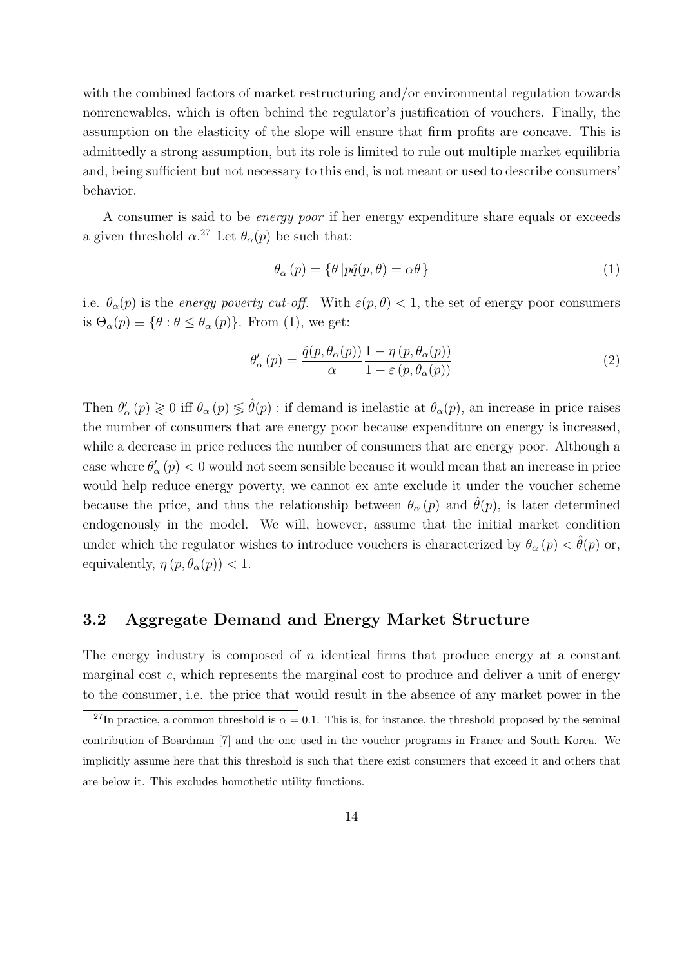with the combined factors of market restructuring and/or environmental regulation towards nonrenewables, which is often behind the regulator's justification of vouchers. Finally, the assumption on the elasticity of the slope will ensure that firm profits are concave. This is admittedly a strong assumption, but its role is limited to rule out multiple market equilibria and, being sufficient but not necessary to this end, is not meant or used to describe consumers' behavior.

A consumer is said to be energy poor if her energy expenditure share equals or exceeds a given threshold  $\alpha$ <sup>27</sup> Let  $\theta_{\alpha}(p)$  be such that:

$$
\theta_{\alpha}(p) = \{ \theta | p\hat{q}(p,\theta) = \alpha\theta \}
$$
\n(1)

i.e.  $\theta_{\alpha}(p)$  is the energy poverty cut-off. With  $\varepsilon(p,\theta) < 1$ , the set of energy poor consumers is  $\Theta_{\alpha}(p) \equiv {\theta : \theta \leq \theta_{\alpha}(p)}$ . From (1), we get:

$$
\theta'_{\alpha}(p) = \frac{\hat{q}(p, \theta_{\alpha}(p))}{\alpha} \frac{1 - \eta(p, \theta_{\alpha}(p))}{1 - \varepsilon(p, \theta_{\alpha}(p))}
$$
(2)

Then  $\theta'_\alpha(p) \geq 0$  iff  $\theta_\alpha(p) \leq \hat{\theta}(p)$ : if demand is inelastic at  $\theta_\alpha(p)$ , an increase in price raises the number of consumers that are energy poor because expenditure on energy is increased, while a decrease in price reduces the number of consumers that are energy poor. Although a case where  $\theta'_{\alpha}(p) < 0$  would not seem sensible because it would mean that an increase in price would help reduce energy poverty, we cannot ex ante exclude it under the voucher scheme because the price, and thus the relationship between  $\theta_{\alpha}(p)$  and  $\theta(p)$ , is later determined endogenously in the model. We will, however, assume that the initial market condition under which the regulator wishes to introduce vouchers is characterized by  $\theta_{\alpha}(p) < \theta(p)$  or, equivalently,  $\eta(p, \theta_{\alpha}(p)) < 1$ .

### 3.2 Aggregate Demand and Energy Market Structure

The energy industry is composed of  $n$  identical firms that produce energy at a constant marginal cost  $c$ , which represents the marginal cost to produce and deliver a unit of energy to the consumer, i.e. the price that would result in the absence of any market power in the

<sup>&</sup>lt;sup>27</sup>In practice, a common threshold is  $\alpha = 0.1$ . This is, for instance, the threshold proposed by the seminal contribution of Boardman [7] and the one used in the voucher programs in France and South Korea. We implicitly assume here that this threshold is such that there exist consumers that exceed it and others that are below it. This excludes homothetic utility functions.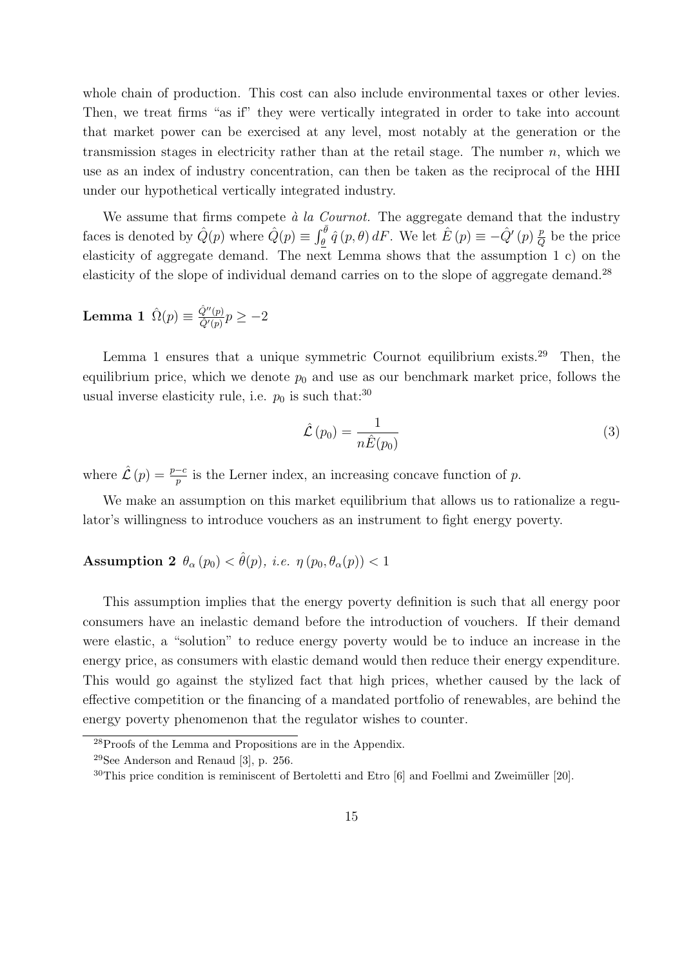whole chain of production. This cost can also include environmental taxes or other levies. Then, we treat firms "as if" they were vertically integrated in order to take into account that market power can be exercised at any level, most notably at the generation or the transmission stages in electricity rather than at the retail stage. The number  $n$ , which we use as an index of industry concentration, can then be taken as the reciprocal of the HHI under our hypothetical vertically integrated industry.

We assume that firms compete  $\dot{a}$  la Cournot. The aggregate demand that the industry faces is denoted by  $\hat{Q}(p)$  where  $\hat{Q}(p) \equiv \int_{\theta}^{\bar{\theta}} \hat{q}(p,\theta) dF$ . We let  $\hat{E}(p) \equiv -\hat{Q}'(p) \frac{p}{Q}$  $\frac{p}{Q}$  be the price elasticity of aggregate demand. The next Lemma shows that the assumption 1 c) on the elasticity of the slope of individual demand carries on to the slope of aggregate demand.<sup>28</sup>

**Lemma 1**  $\hat{\Omega}(p) \equiv \frac{\hat{Q}''(p)}{\hat{Q}'(p)}$  $\frac{Q^{\prime\prime}(p)}{\hat{Q}'(p)}p\geq-2$ 

Lemma 1 ensures that a unique symmetric Cournot equilibrium exists.<sup>29</sup> Then, the equilibrium price, which we denote  $p_0$  and use as our benchmark market price, follows the usual inverse elasticity rule, i.e.  $p_0$  is such that:<sup>30</sup>

$$
\hat{\mathcal{L}}\left(p_0\right) = \frac{1}{n\hat{E}(p_0)}\tag{3}
$$

where  $\hat{\mathcal{L}}(p) = \frac{p-c}{p}$  is the Lerner index, an increasing concave function of p.

We make an assumption on this market equilibrium that allows us to rationalize a regulator's willingness to introduce vouchers as an instrument to fight energy poverty.

### Assumption 2  $\theta_{\alpha}(p_0) < \hat{\theta}(p)$ , *i.e.*  $\eta(p_0, \theta_{\alpha}(p)) < 1$

This assumption implies that the energy poverty definition is such that all energy poor consumers have an inelastic demand before the introduction of vouchers. If their demand were elastic, a "solution" to reduce energy poverty would be to induce an increase in the energy price, as consumers with elastic demand would then reduce their energy expenditure. This would go against the stylized fact that high prices, whether caused by the lack of effective competition or the financing of a mandated portfolio of renewables, are behind the energy poverty phenomenon that the regulator wishes to counter.

<sup>28</sup>Proofs of the Lemma and Propositions are in the Appendix.

 $29$ See Anderson and Renaud [3], p. 256.

 $30$ This price condition is reminiscent of Bertoletti and Etro [6] and Foellmi and Zweimüller [20].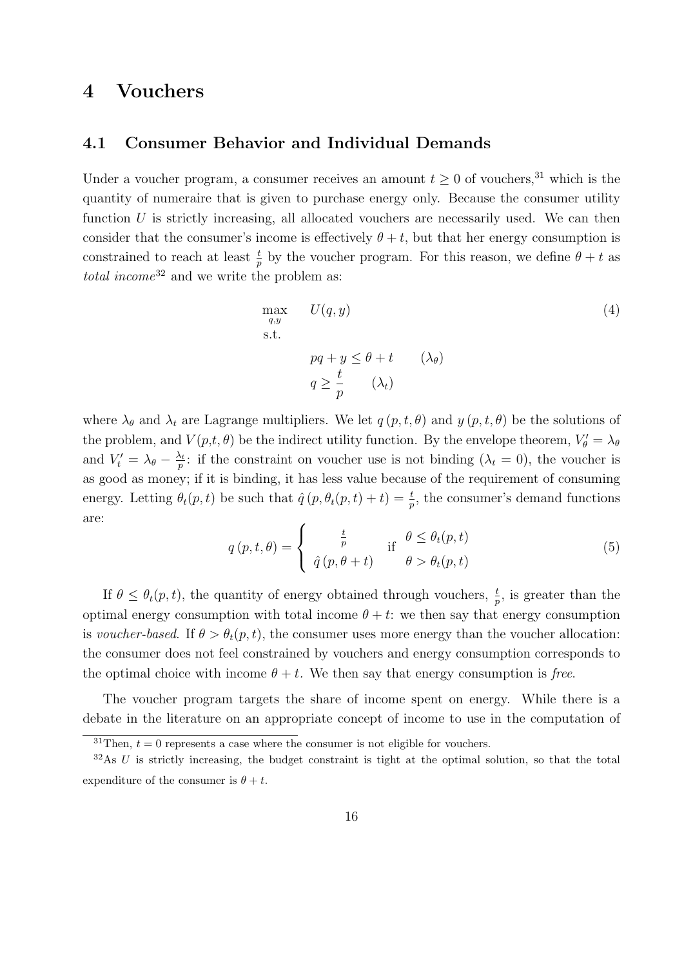# 4 Vouchers

### 4.1 Consumer Behavior and Individual Demands

Under a voucher program, a consumer receives an amount  $t \geq 0$  of vouchers,<sup>31</sup> which is the quantity of numeraire that is given to purchase energy only. Because the consumer utility function  $U$  is strictly increasing, all allocated vouchers are necessarily used. We can then consider that the consumer's income is effectively  $\theta + t$ , but that her energy consumption is constrained to reach at least  $\frac{t}{p}$  by the voucher program. For this reason, we define  $\theta + t$  as total income<sup>32</sup> and we write the problem as:

$$
\max_{q,y} U(q,y)
$$
\n
$$
\text{s.t.}
$$
\n
$$
pq + y \leq \theta + t \quad (\lambda_{\theta})
$$
\n
$$
q \geq \frac{t}{p} \quad (\lambda_t)
$$
\n(4)

where  $\lambda_{\theta}$  and  $\lambda_t$  are Lagrange multipliers. We let  $q(p, t, \theta)$  and  $y(p, t, \theta)$  be the solutions of the problem, and  $V(p,t,\theta)$  be the indirect utility function. By the envelope theorem,  $V'_{\theta} = \lambda_{\theta}$ and  $V'_t = \lambda_\theta - \frac{\lambda_t}{p}$  $\frac{\lambda_t}{p}$ : if the constraint on voucher use is not binding  $(\lambda_t = 0)$ , the voucher is as good as money; if it is binding, it has less value because of the requirement of consuming energy. Letting  $\theta_t(p,t)$  be such that  $\hat{q}(p,\theta_t(p,t)+t) = \frac{t}{p}$ , the consumer's demand functions are:

$$
q(p, t, \theta) = \begin{cases} \frac{t}{p} & \text{if } \theta \leq \theta_t(p, t) \\ \hat{q}(p, \theta + t) & \theta > \theta_t(p, t) \end{cases}
$$
(5)

If  $\theta \leq \theta_t(p,t)$ , the quantity of energy obtained through vouchers,  $\frac{t}{p}$ , is greater than the optimal energy consumption with total income  $\theta + t$ : we then say that energy consumption is voucher-based. If  $\theta > \theta_t(p,t)$ , the consumer uses more energy than the voucher allocation: the consumer does not feel constrained by vouchers and energy consumption corresponds to the optimal choice with income  $\theta + t$ . We then say that energy consumption is free.

The voucher program targets the share of income spent on energy. While there is a debate in the literature on an appropriate concept of income to use in the computation of

<sup>&</sup>lt;sup>31</sup>Then,  $t = 0$  represents a case where the consumer is not eligible for vouchers.

 $32\text{As } U$  is strictly increasing, the budget constraint is tight at the optimal solution, so that the total expenditure of the consumer is  $\theta + t$ .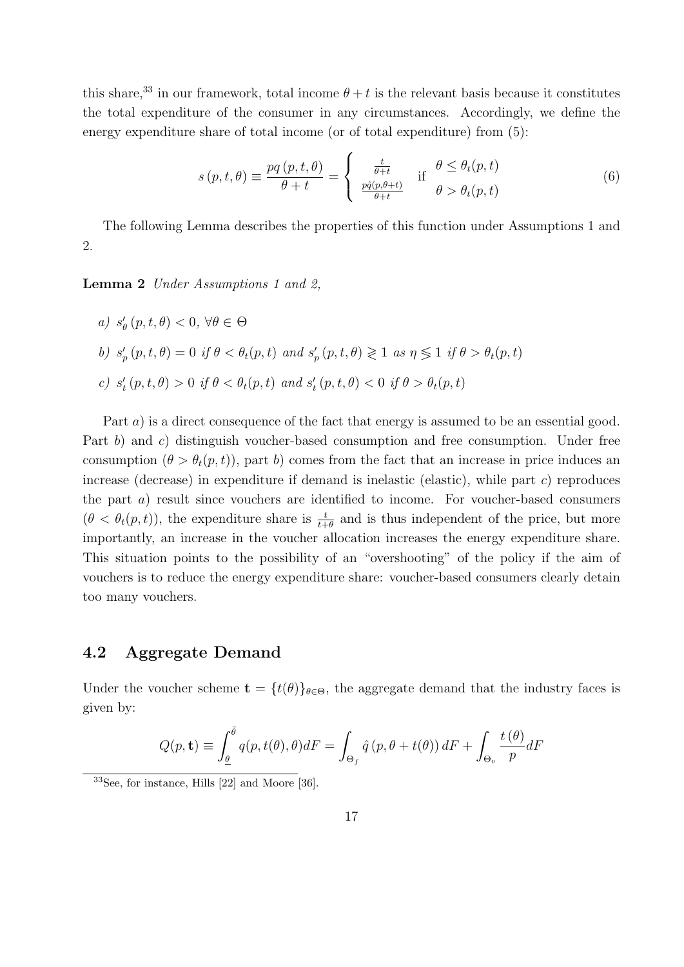this share,<sup>33</sup> in our framework, total income  $\theta + t$  is the relevant basis because it constitutes the total expenditure of the consumer in any circumstances. Accordingly, we define the energy expenditure share of total income (or of total expenditure) from (5):

$$
s(p, t, \theta) \equiv \frac{pq(p, t, \theta)}{\theta + t} = \begin{cases} \frac{t}{\theta + t} & \text{if } \theta \le \theta_t(p, t) \\ \frac{pq(p, \theta + t)}{\theta + t} & \theta > \theta_t(p, t) \end{cases}
$$
(6)

The following Lemma describes the properties of this function under Assumptions 1 and 2.

Lemma 2 Under Assumptions 1 and 2,

\n- a) 
$$
s'_{\theta}(p, t, \theta) < 0
$$
,  $\forall \theta \in \Theta$
\n- b)  $s'_{p}(p, t, \theta) = 0$  if  $\theta < \theta_{t}(p, t)$  and  $s'_{p}(p, t, \theta) \geq 1$  as  $\eta \leq 1$  if  $\theta > \theta_{t}(p, t)$
\n- c)  $s'_{t}(p, t, \theta) > 0$  if  $\theta < \theta_{t}(p, t)$  and  $s'_{t}(p, t, \theta) < 0$  if  $\theta > \theta_{t}(p, t)$
\n

Part a) is a direct consequence of the fact that energy is assumed to be an essential good. Part b) and c) distinguish voucher-based consumption and free consumption. Under free consumption  $(\theta > \theta_t(p, t))$ , part b) comes from the fact that an increase in price induces an increase (decrease) in expenditure if demand is inelastic (elastic), while part  $c$ ) reproduces the part  $a$ ) result since vouchers are identified to income. For voucher-based consumers  $(\theta < \theta_t(p, t))$ , the expenditure share is  $\frac{t}{t+\theta}$  and is thus independent of the price, but more importantly, an increase in the voucher allocation increases the energy expenditure share. This situation points to the possibility of an "overshooting" of the policy if the aim of vouchers is to reduce the energy expenditure share: voucher-based consumers clearly detain too many vouchers.

### 4.2 Aggregate Demand

Under the voucher scheme  $\mathbf{t} = \{t(\theta)\}_{\theta \in \Theta}$ , the aggregate demand that the industry faces is given by:

$$
Q(p, \mathbf{t}) \equiv \int_{\underline{\theta}}^{\overline{\theta}} q(p, t(\theta), \theta) dF = \int_{\Theta_f} \hat{q}(p, \theta + t(\theta)) dF + \int_{\Theta_v} \frac{t(\theta)}{p} dF
$$

<sup>33</sup>See, for instance, Hills [22] and Moore [36].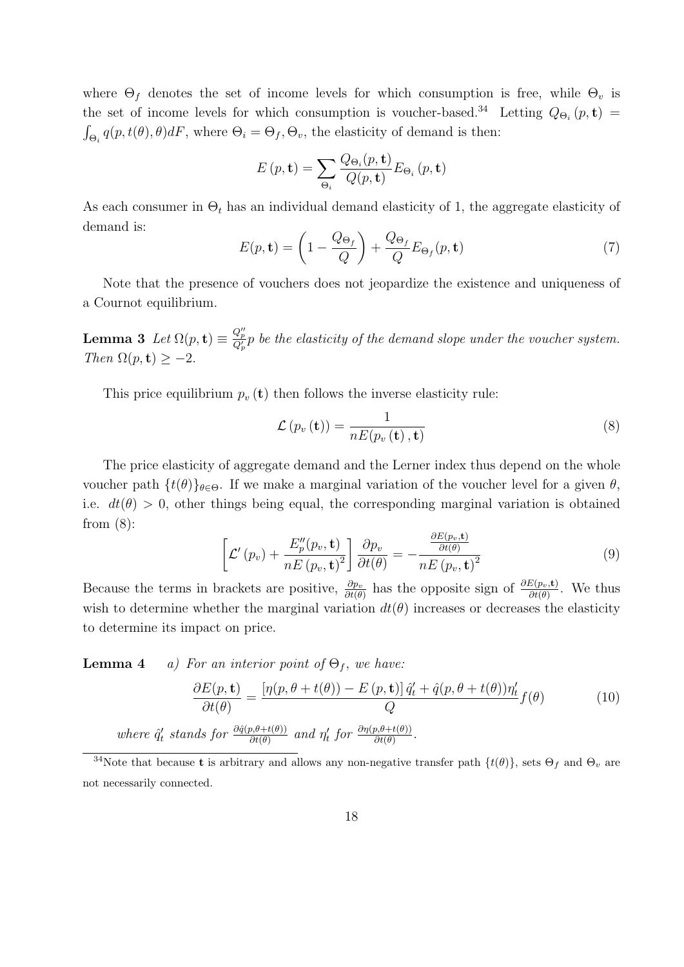where  $\Theta_f$  denotes the set of income levels for which consumption is free, while  $\Theta_v$  is the set of income levels for which consumption is voucher-based.<sup>34</sup> Letting  $Q_{\Theta_i}(p, t)$  =  $\int_{\Theta_i} q(p, t(\theta), \theta) dF$ , where  $\Theta_i = \Theta_f, \Theta_v$ , the elasticity of demand is then:

$$
E(p, \mathbf{t}) = \sum_{\Theta_i} \frac{Q_{\Theta_i}(p, \mathbf{t})}{Q(p, \mathbf{t})} E_{\Theta_i}(p, \mathbf{t})
$$

As each consumer in  $\Theta_t$  has an individual demand elasticity of 1, the aggregate elasticity of demand is:

$$
E(p, \mathbf{t}) = \left(1 - \frac{Q_{\Theta_f}}{Q}\right) + \frac{Q_{\Theta_f}}{Q} E_{\Theta_f}(p, \mathbf{t})
$$
\n(7)

Note that the presence of vouchers does not jeopardize the existence and uniqueness of a Cournot equilibrium.

**Lemma 3** Let  $\Omega(p, t) \equiv \frac{Q_p^{\prime\prime}}{Q_p^{\prime}} p$  be the elasticity of the demand slope under the voucher system. Then  $\Omega(p, t) > -2$ .

This price equilibrium  $p_v(\mathbf{t})$  then follows the inverse elasticity rule:

$$
\mathcal{L}\left(p_v\left(\mathbf{t}\right)\right) = \frac{1}{nE(p_v\left(\mathbf{t}\right), \mathbf{t})} \tag{8}
$$

The price elasticity of aggregate demand and the Lerner index thus depend on the whole voucher path  $\{t(\theta)\}_{\theta \in \Theta}$ . If we make a marginal variation of the voucher level for a given  $\theta$ , i.e.  $dt(\theta) > 0$ , other things being equal, the corresponding marginal variation is obtained from  $(8)$ :

$$
\left[\mathcal{L}'\left(p_v\right) + \frac{E_p''\left(p_v, \mathbf{t}\right)}{nE\left(p_v, \mathbf{t}\right)^2}\right] \frac{\partial p_v}{\partial t(\theta)} = -\frac{\frac{\partial E\left(p_v, \mathbf{t}\right)}{\partial t(\theta)}}{nE\left(p_v, \mathbf{t}\right)^2} \tag{9}
$$

Because the terms in brackets are positive,  $\frac{\partial p_v}{\partial t(\theta)}$  has the opposite sign of  $\frac{\partial E(p_v, t)}{\partial t(\theta)}$ . We thus wish to determine whether the marginal variation  $dt(\theta)$  increases or decreases the elasticity to determine its impact on price.

**Lemma 4** a) For an interior point of  $\Theta_f$ , we have:

$$
\frac{\partial E(p, \mathbf{t})}{\partial t(\theta)} = \frac{\left[\eta(p, \theta + t(\theta)) - E(p, \mathbf{t})\right] \hat{q}'_t + \hat{q}(p, \theta + t(\theta)) \eta'_t}{Q} f(\theta)
$$
(10)  
where  $\hat{q}'_t$  stands for  $\frac{\partial \hat{q}(p, \theta + t(\theta))}{\partial t(\theta)}$  and  $\eta'_t$  for  $\frac{\partial \eta(p, \theta + t(\theta))}{\partial t(\theta)}$ .

<sup>&</sup>lt;sup>34</sup>Note that because **t** is arbitrary and allows any non-negative transfer path  $\{t(\theta)\}\text{, sets } \Theta_f$  and  $\Theta_v$  are not necessarily connected.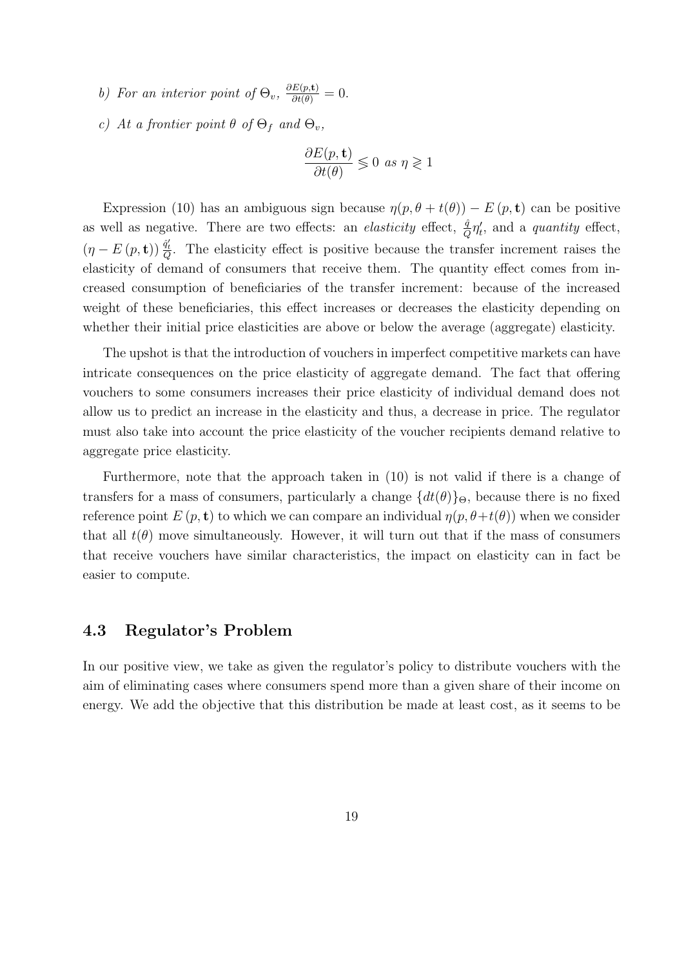- b) For an interior point of  $\Theta_v$ ,  $\frac{\partial E(p, t)}{\partial t(\theta)} = 0$ .
- c) At a frontier point  $\theta$  of  $\Theta_f$  and  $\Theta_v$ ,

$$
\frac{\partial E(p, \mathbf{t})}{\partial t(\theta)} \lessgtr 0 \text{ as } \eta \gtrless 1
$$

Expression (10) has an ambiguous sign because  $\eta(p, \theta + t(\theta)) - E(p, t)$  can be positive as well as negative. There are two effects: an *elasticity* effect,  $\frac{\hat{q}}{Q}\eta'_t$ , and a *quantity* effect,  $(\eta - E(p, \mathbf{t})) \frac{\partial f}{\partial r}$ . The elasticity effect is positive because the transfer increment raises the elasticity of demand of consumers that receive them. The quantity effect comes from increased consumption of beneficiaries of the transfer increment: because of the increased weight of these beneficiaries, this effect increases or decreases the elasticity depending on whether their initial price elasticities are above or below the average (aggregate) elasticity.

The upshot is that the introduction of vouchers in imperfect competitive markets can have intricate consequences on the price elasticity of aggregate demand. The fact that offering vouchers to some consumers increases their price elasticity of individual demand does not allow us to predict an increase in the elasticity and thus, a decrease in price. The regulator must also take into account the price elasticity of the voucher recipients demand relative to aggregate price elasticity.

Furthermore, note that the approach taken in (10) is not valid if there is a change of transfers for a mass of consumers, particularly a change  $\{dt(\theta)\}\Theta$ , because there is no fixed reference point  $E(p, t)$  to which we can compare an individual  $\eta(p, \theta+t(\theta))$  when we consider that all  $t(\theta)$  move simultaneously. However, it will turn out that if the mass of consumers that receive vouchers have similar characteristics, the impact on elasticity can in fact be easier to compute.

### 4.3 Regulator's Problem

In our positive view, we take as given the regulator's policy to distribute vouchers with the aim of eliminating cases where consumers spend more than a given share of their income on energy. We add the objective that this distribution be made at least cost, as it seems to be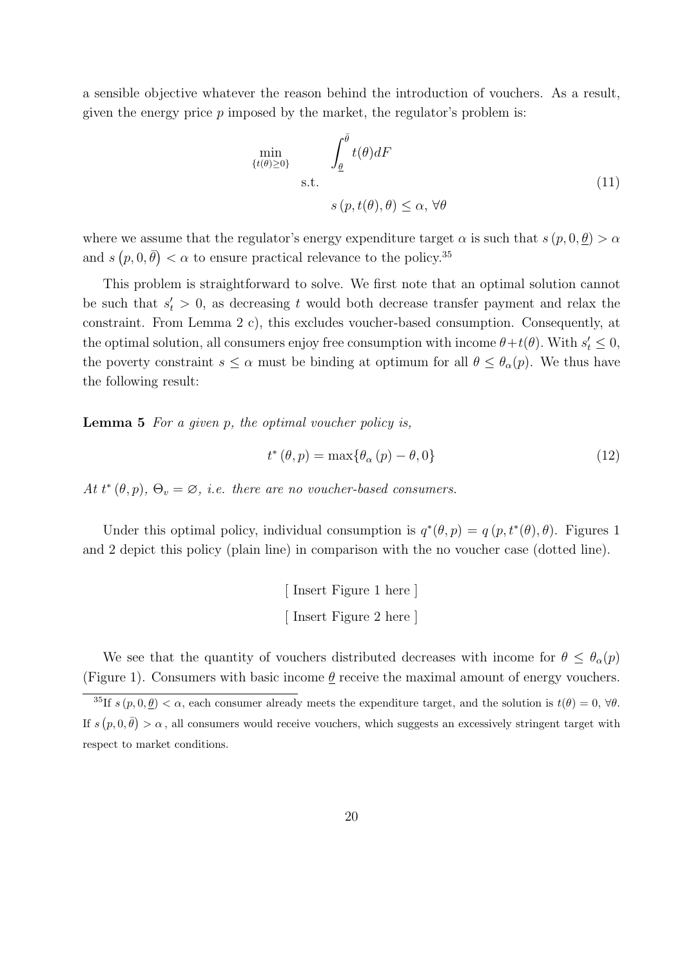a sensible objective whatever the reason behind the introduction of vouchers. As a result, given the energy price  $p$  imposed by the market, the regulator's problem is:

$$
\min_{\{t(\theta) \ge 0\}} \int_{\underline{\theta}}^{\overline{\theta}} t(\theta) dF
$$
\ns.t.\n
$$
s(p, t(\theta), \theta) \le \alpha, \forall \theta
$$
\n(11)

where we assume that the regulator's energy expenditure target  $\alpha$  is such that  $s(p, 0, \underline{\theta}) > \alpha$ and  $s(p, 0, \bar{\theta}) < \alpha$  to ensure practical relevance to the policy.<sup>35</sup>

This problem is straightforward to solve. We first note that an optimal solution cannot be such that  $s_t > 0$ , as decreasing t would both decrease transfer payment and relax the constraint. From Lemma 2 c), this excludes voucher-based consumption. Consequently, at the optimal solution, all consumers enjoy free consumption with income  $\theta + t(\theta)$ . With  $s'_t \leq 0$ , the poverty constraint  $s \leq \alpha$  must be binding at optimum for all  $\theta \leq \theta_{\alpha}(p)$ . We thus have the following result:

**Lemma 5** For a given p, the optimal voucher policy is,

$$
t^*(\theta, p) = \max\{\theta_\alpha(p) - \theta, 0\}
$$
\n(12)

At  $t^*(\theta, p)$ ,  $\Theta_v = \emptyset$ , i.e. there are no voucher-based consumers.

Under this optimal policy, individual consumption is  $q^*(\theta, p) = q(p, t^*(\theta), \theta)$ . Figures 1 and 2 depict this policy (plain line) in comparison with the no voucher case (dotted line).

> [ Insert Figure 1 here ] [ Insert Figure 2 here ]

We see that the quantity of vouchers distributed decreases with income for  $\theta \leq \theta_{\alpha}(p)$ (Figure 1). Consumers with basic income  $\theta$  receive the maximal amount of energy vouchers.

<sup>&</sup>lt;sup>35</sup>If  $s(p, 0, \underline{\theta}) < \alpha$ , each consumer already meets the expenditure target, and the solution is  $t(\theta) = 0$ ,  $\forall \theta$ . If  $s(p,0,\bar{\theta}) > \alpha$ , all consumers would receive vouchers, which suggests an excessively stringent target with respect to market conditions.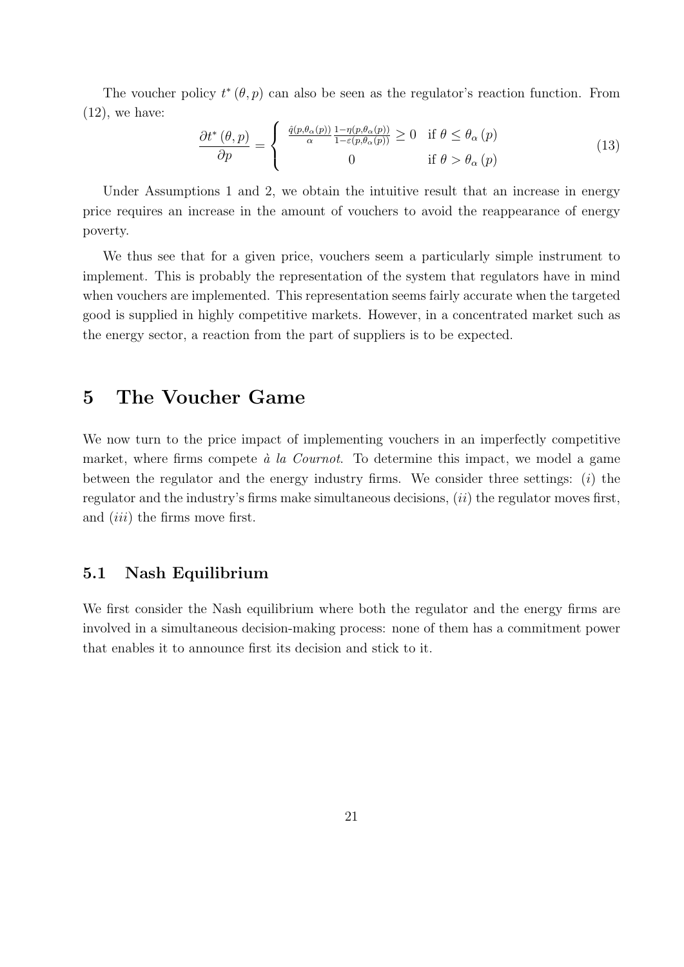The voucher policy  $t^*(\theta, p)$  can also be seen as the regulator's reaction function. From  $(12)$ , we have:

$$
\frac{\partial t^*(\theta, p)}{\partial p} = \begin{cases} \frac{\hat{q}(p, \theta_\alpha(p))}{\alpha} \frac{1 - \eta(p, \theta_\alpha(p))}{1 - \varepsilon(p, \theta_\alpha(p))} \ge 0 & \text{if } \theta \le \theta_\alpha(p) \\ 0 & \text{if } \theta > \theta_\alpha(p) \end{cases}
$$
(13)

Under Assumptions 1 and 2, we obtain the intuitive result that an increase in energy price requires an increase in the amount of vouchers to avoid the reappearance of energy poverty.

We thus see that for a given price, vouchers seem a particularly simple instrument to implement. This is probably the representation of the system that regulators have in mind when vouchers are implemented. This representation seems fairly accurate when the targeted good is supplied in highly competitive markets. However, in a concentrated market such as the energy sector, a reaction from the part of suppliers is to be expected.

# 5 The Voucher Game

We now turn to the price impact of implementing vouchers in an imperfectly competitive market, where firms compete  $\dot{a}$  la Cournot. To determine this impact, we model a game between the regulator and the energy industry firms. We consider three settings:  $(i)$  the regulator and the industry's firms make simultaneous decisions,  $(ii)$  the regulator moves first, and *(iii)* the firms move first.

### 5.1 Nash Equilibrium

We first consider the Nash equilibrium where both the regulator and the energy firms are involved in a simultaneous decision-making process: none of them has a commitment power that enables it to announce first its decision and stick to it.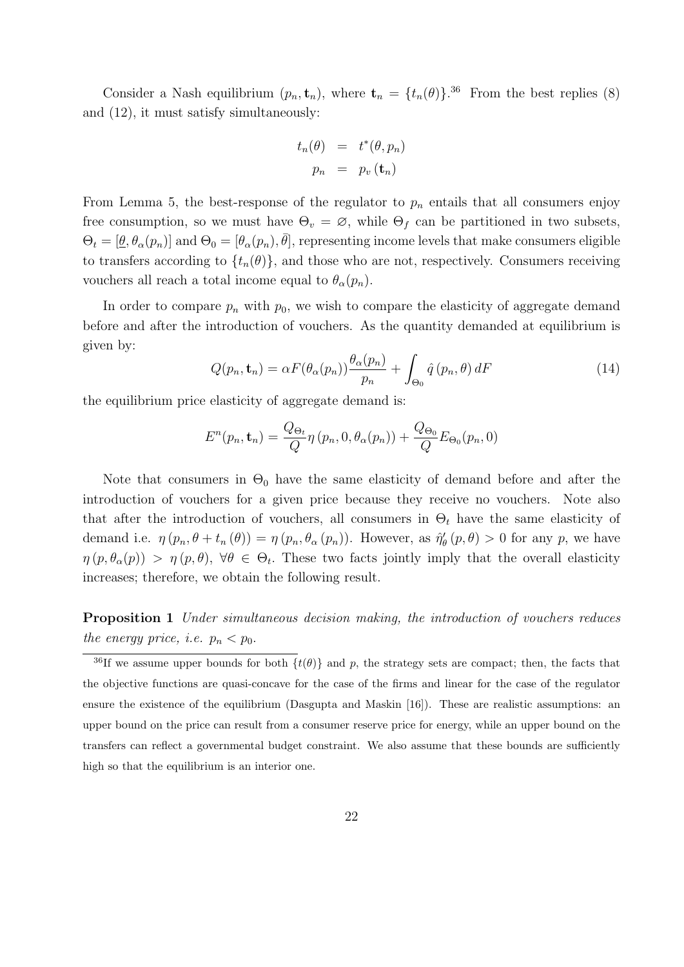Consider a Nash equilibrium  $(p_n, \mathbf{t}_n)$ , where  $\mathbf{t}_n = \{t_n(\theta)\}$ .<sup>36</sup> From the best replies (8) and (12), it must satisfy simultaneously:

$$
t_n(\theta) = t^*(\theta, p_n)
$$

$$
p_n = p_v(\mathbf{t}_n)
$$

From Lemma 5, the best-response of the regulator to  $p_n$  entails that all consumers enjoy free consumption, so we must have  $\Theta_v = \emptyset$ , while  $\Theta_f$  can be partitioned in two subsets,  $\Theta_t = [\underline{\theta}, \theta_\alpha(p_n)]$  and  $\Theta_0 = [\theta_\alpha(p_n), \overline{\theta}]$ , representing income levels that make consumers eligible to transfers according to  $\{t_n(\theta)\}\$ , and those who are not, respectively. Consumers receiving vouchers all reach a total income equal to  $\theta_{\alpha}(p_n)$ .

In order to compare  $p_n$  with  $p_0$ , we wish to compare the elasticity of aggregate demand before and after the introduction of vouchers. As the quantity demanded at equilibrium is given by:

$$
Q(p_n, \mathbf{t}_n) = \alpha F(\theta_\alpha(p_n)) \frac{\theta_\alpha(p_n)}{p_n} + \int_{\Theta_0} \hat{q}(p_n, \theta) dF
$$
 (14)

the equilibrium price elasticity of aggregate demand is:

$$
E^{n}(p_n, \mathbf{t}_n) = \frac{Q_{\Theta_t}}{Q} \eta(p_n, 0, \theta_{\alpha}(p_n)) + \frac{Q_{\Theta_0}}{Q} E_{\Theta_0}(p_n, 0)
$$

Note that consumers in  $\Theta_0$  have the same elasticity of demand before and after the introduction of vouchers for a given price because they receive no vouchers. Note also that after the introduction of vouchers, all consumers in  $\Theta_t$  have the same elasticity of demand i.e.  $\eta(p_n, \theta + t_n(\theta)) = \eta(p_n, \theta_\alpha(p_n))$ . However, as  $\hat{\eta}'_\theta(p, \theta) > 0$  for any p, we have  $\eta(p,\theta_\alpha(p)) > \eta(p,\theta), \forall \theta \in \Theta_t$ . These two facts jointly imply that the overall elasticity increases; therefore, we obtain the following result.

Proposition 1 Under simultaneous decision making, the introduction of vouchers reduces the energy price, i.e.  $p_n < p_0$ .

<sup>&</sup>lt;sup>36</sup>If we assume upper bounds for both  $\{t(\theta)\}\$ and p, the strategy sets are compact; then, the facts that the objective functions are quasi-concave for the case of the firms and linear for the case of the regulator ensure the existence of the equilibrium (Dasgupta and Maskin [16]). These are realistic assumptions: an upper bound on the price can result from a consumer reserve price for energy, while an upper bound on the transfers can reflect a governmental budget constraint. We also assume that these bounds are sufficiently high so that the equilibrium is an interior one.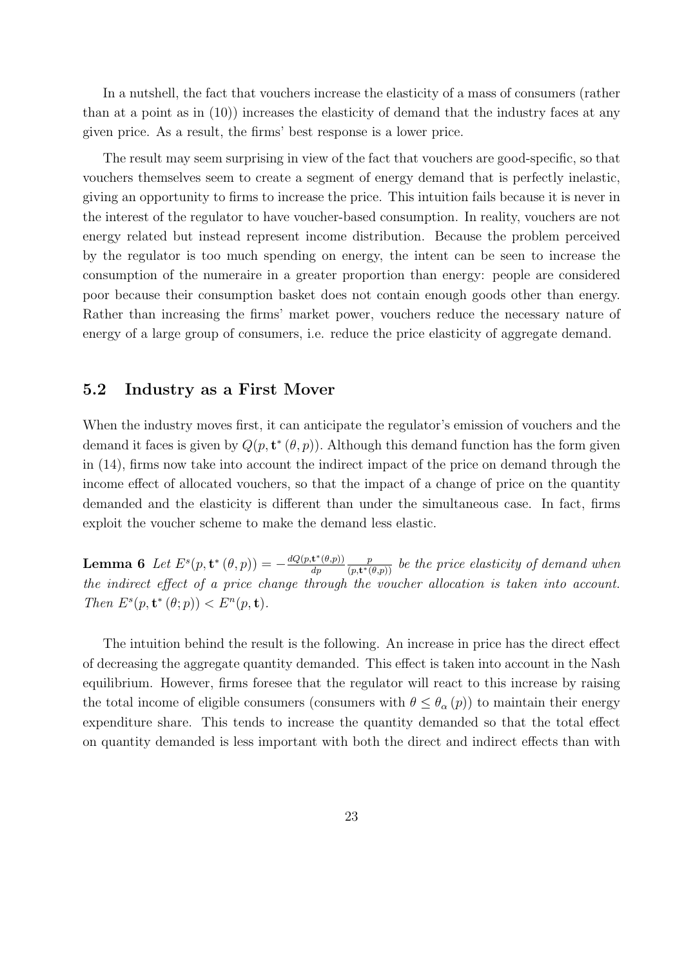In a nutshell, the fact that vouchers increase the elasticity of a mass of consumers (rather than at a point as in (10)) increases the elasticity of demand that the industry faces at any given price. As a result, the firms' best response is a lower price.

The result may seem surprising in view of the fact that vouchers are good-specific, so that vouchers themselves seem to create a segment of energy demand that is perfectly inelastic, giving an opportunity to firms to increase the price. This intuition fails because it is never in the interest of the regulator to have voucher-based consumption. In reality, vouchers are not energy related but instead represent income distribution. Because the problem perceived by the regulator is too much spending on energy, the intent can be seen to increase the consumption of the numeraire in a greater proportion than energy: people are considered poor because their consumption basket does not contain enough goods other than energy. Rather than increasing the firms' market power, vouchers reduce the necessary nature of energy of a large group of consumers, i.e. reduce the price elasticity of aggregate demand.

### 5.2 Industry as a First Mover

When the industry moves first, it can anticipate the regulator's emission of vouchers and the demand it faces is given by  $Q(p, t^*(\theta, p))$ . Although this demand function has the form given in (14), firms now take into account the indirect impact of the price on demand through the income effect of allocated vouchers, so that the impact of a change of price on the quantity demanded and the elasticity is different than under the simultaneous case. In fact, firms exploit the voucher scheme to make the demand less elastic.

Lemma 6 Let  $E^s(p, \mathbf{t}^*(\theta, p)) = -\frac{dQ(p, \mathbf{t}^*(\theta, p))}{dp}$ dp p  $\frac{p}{(p,\mathbf{t}^*(\theta,p))}$  be the price elasticity of demand when the indirect effect of a price change through the voucher allocation is taken into account. Then  $E^s(p, \mathbf{t}^*(\theta; p)) < E^n(p, \mathbf{t}).$ 

The intuition behind the result is the following. An increase in price has the direct effect of decreasing the aggregate quantity demanded. This effect is taken into account in the Nash equilibrium. However, firms foresee that the regulator will react to this increase by raising the total income of eligible consumers (consumers with  $\theta \leq \theta_{\alpha}(p)$ ) to maintain their energy expenditure share. This tends to increase the quantity demanded so that the total effect on quantity demanded is less important with both the direct and indirect effects than with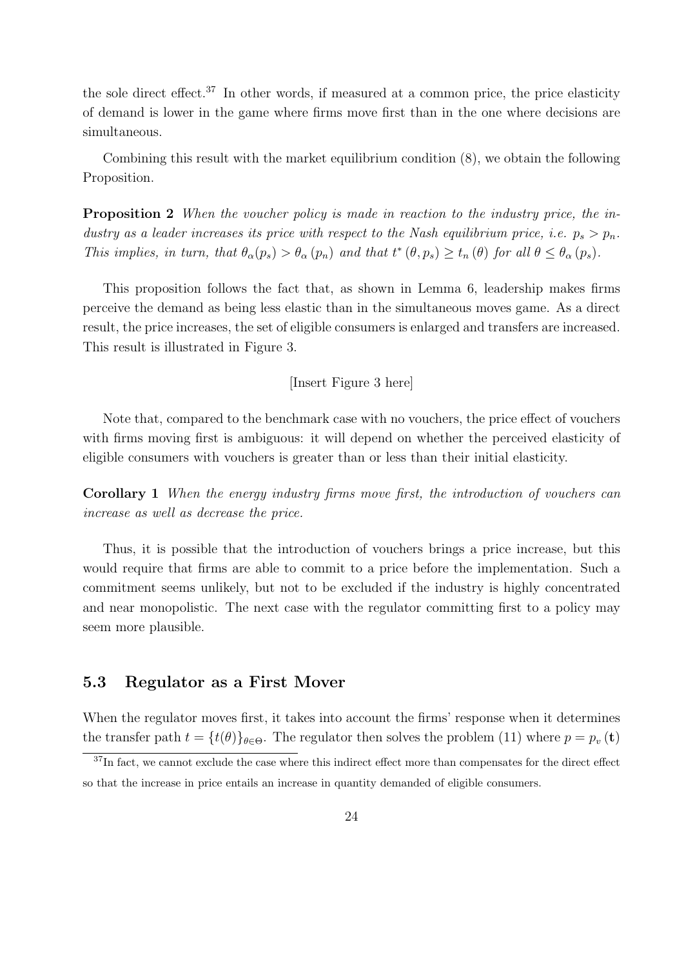the sole direct effect.<sup>37</sup> In other words, if measured at a common price, the price elasticity of demand is lower in the game where firms move first than in the one where decisions are simultaneous.

Combining this result with the market equilibrium condition (8), we obtain the following Proposition.

Proposition 2 When the voucher policy is made in reaction to the industry price, the industry as a leader increases its price with respect to the Nash equilibrium price, i.e.  $p_s > p_n$ . This implies, in turn, that  $\theta_{\alpha}(p_s) > \theta_{\alpha}(p_n)$  and that  $t^*(\theta, p_s) \ge t_n(\theta)$  for all  $\theta \le \theta_{\alpha}(p_s)$ .

This proposition follows the fact that, as shown in Lemma 6, leadership makes firms perceive the demand as being less elastic than in the simultaneous moves game. As a direct result, the price increases, the set of eligible consumers is enlarged and transfers are increased. This result is illustrated in Figure 3.

#### [Insert Figure 3 here]

Note that, compared to the benchmark case with no vouchers, the price effect of vouchers with firms moving first is ambiguous: it will depend on whether the perceived elasticity of eligible consumers with vouchers is greater than or less than their initial elasticity.

Corollary 1 When the energy industry firms move first, the introduction of vouchers can increase as well as decrease the price.

Thus, it is possible that the introduction of vouchers brings a price increase, but this would require that firms are able to commit to a price before the implementation. Such a commitment seems unlikely, but not to be excluded if the industry is highly concentrated and near monopolistic. The next case with the regulator committing first to a policy may seem more plausible.

### 5.3 Regulator as a First Mover

When the regulator moves first, it takes into account the firms' response when it determines the transfer path  $t = \{t(\theta)\}_{\theta \in \Theta}$ . The regulator then solves the problem (11) where  $p = p_v(t)$ 

<sup>&</sup>lt;sup>37</sup>In fact, we cannot exclude the case where this indirect effect more than compensates for the direct effect so that the increase in price entails an increase in quantity demanded of eligible consumers.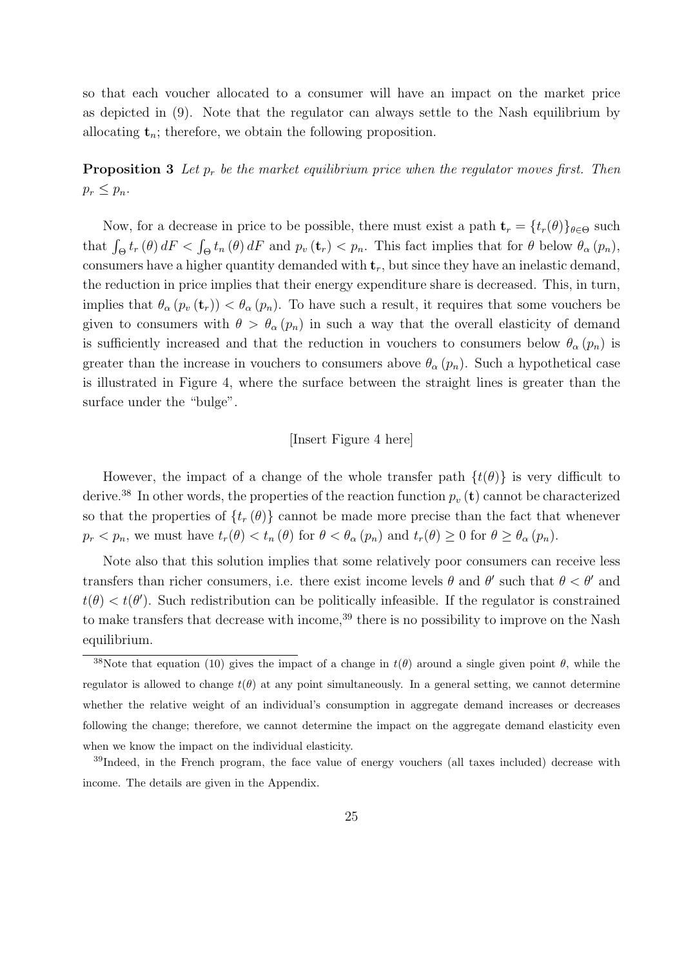so that each voucher allocated to a consumer will have an impact on the market price as depicted in (9). Note that the regulator can always settle to the Nash equilibrium by allocating  $t_n$ ; therefore, we obtain the following proposition.

**Proposition 3** Let  $p_r$  be the market equilibrium price when the regulator moves first. Then  $p_r \leq p_n$ .

Now, for a decrease in price to be possible, there must exist a path  $\mathbf{t}_r = \{t_r(\theta)\}_{\theta \in \Theta}$  such that  $\int_{\Theta} t_r(\theta) dF < \int_{\Theta} t_n(\theta) dF$  and  $p_v(\mathbf{t}_r) < p_n$ . This fact implies that for  $\theta$  below  $\theta_{\alpha}(p_n)$ , consumers have a higher quantity demanded with  $t_r$ , but since they have an inelastic demand, the reduction in price implies that their energy expenditure share is decreased. This, in turn, implies that  $\theta_{\alpha}(p_v(\mathbf{t}_r)) < \theta_{\alpha}(p_n)$ . To have such a result, it requires that some vouchers be given to consumers with  $\theta > \theta_{\alpha}(p_n)$  in such a way that the overall elasticity of demand is sufficiently increased and that the reduction in vouchers to consumers below  $\theta_{\alpha}(p_n)$  is greater than the increase in vouchers to consumers above  $\theta_{\alpha}(p_n)$ . Such a hypothetical case is illustrated in Figure 4, where the surface between the straight lines is greater than the surface under the "bulge".

#### [Insert Figure 4 here]

However, the impact of a change of the whole transfer path  $\{t(\theta)\}\$ is very difficult to derive.<sup>38</sup> In other words, the properties of the reaction function  $p_v(\mathbf{t})$  cannot be characterized so that the properties of  $\{t_r(\theta)\}\)$  cannot be made more precise than the fact that whenever  $p_r < p_n$ , we must have  $t_r(\theta) < t_n(\theta)$  for  $\theta < \theta_\alpha(p_n)$  and  $t_r(\theta) \geq 0$  for  $\theta \geq \theta_\alpha(p_n)$ .

Note also that this solution implies that some relatively poor consumers can receive less transfers than richer consumers, i.e. there exist income levels  $\theta$  and  $\theta'$  such that  $\theta < \theta'$  and  $t(\theta) < t(\theta')$ . Such redistribution can be politically infeasible. If the regulator is constrained to make transfers that decrease with income,<sup>39</sup> there is no possibility to improve on the Nash equilibrium.

<sup>&</sup>lt;sup>38</sup>Note that equation (10) gives the impact of a change in  $t(\theta)$  around a single given point  $\theta$ , while the regulator is allowed to change  $t(\theta)$  at any point simultaneously. In a general setting, we cannot determine whether the relative weight of an individual's consumption in aggregate demand increases or decreases following the change; therefore, we cannot determine the impact on the aggregate demand elasticity even when we know the impact on the individual elasticity.

<sup>39</sup>Indeed, in the French program, the face value of energy vouchers (all taxes included) decrease with income. The details are given in the Appendix.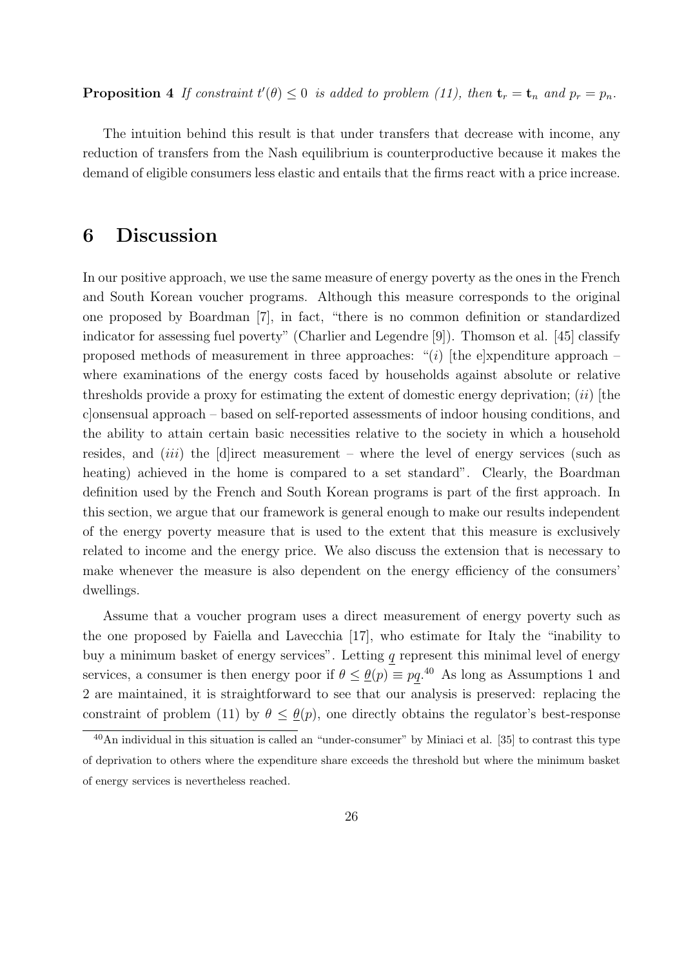**Proposition 4** If constraint  $t'(\theta) \leq 0$  is added to problem (11), then  $\mathbf{t}_r = \mathbf{t}_n$  and  $p_r = p_n$ .

The intuition behind this result is that under transfers that decrease with income, any reduction of transfers from the Nash equilibrium is counterproductive because it makes the demand of eligible consumers less elastic and entails that the firms react with a price increase.

# 6 Discussion

In our positive approach, we use the same measure of energy poverty as the ones in the French and South Korean voucher programs. Although this measure corresponds to the original one proposed by Boardman [7], in fact, "there is no common definition or standardized indicator for assessing fuel poverty" (Charlier and Legendre [9]). Thomson et al. [45] classify proposed methods of measurement in three approaches: "(i) [the e]xpenditure approach – where examinations of the energy costs faced by households against absolute or relative thresholds provide a proxy for estimating the extent of domestic energy deprivation;  $(ii)$  [the c]onsensual approach – based on self-reported assessments of indoor housing conditions, and the ability to attain certain basic necessities relative to the society in which a household resides, and *(iii)* the [d]irect measurement – where the level of energy services (such as heating) achieved in the home is compared to a set standard". Clearly, the Boardman definition used by the French and South Korean programs is part of the first approach. In this section, we argue that our framework is general enough to make our results independent of the energy poverty measure that is used to the extent that this measure is exclusively related to income and the energy price. We also discuss the extension that is necessary to make whenever the measure is also dependent on the energy efficiency of the consumers' dwellings.

Assume that a voucher program uses a direct measurement of energy poverty such as the one proposed by Faiella and Lavecchia [17], who estimate for Italy the "inability to buy a minimum basket of energy services". Letting  $q$  represent this minimal level of energy services, a consumer is then energy poor if  $\theta \leq \theta(p) \equiv pq.^{40}$ . As long as Assumptions 1 and 2 are maintained, it is straightforward to see that our analysis is preserved: replacing the constraint of problem (11) by  $\theta \leq \underline{\theta}(p)$ , one directly obtains the regulator's best-response

<sup>40</sup>An individual in this situation is called an "under-consumer" by Miniaci et al. [35] to contrast this type of deprivation to others where the expenditure share exceeds the threshold but where the minimum basket of energy services is nevertheless reached.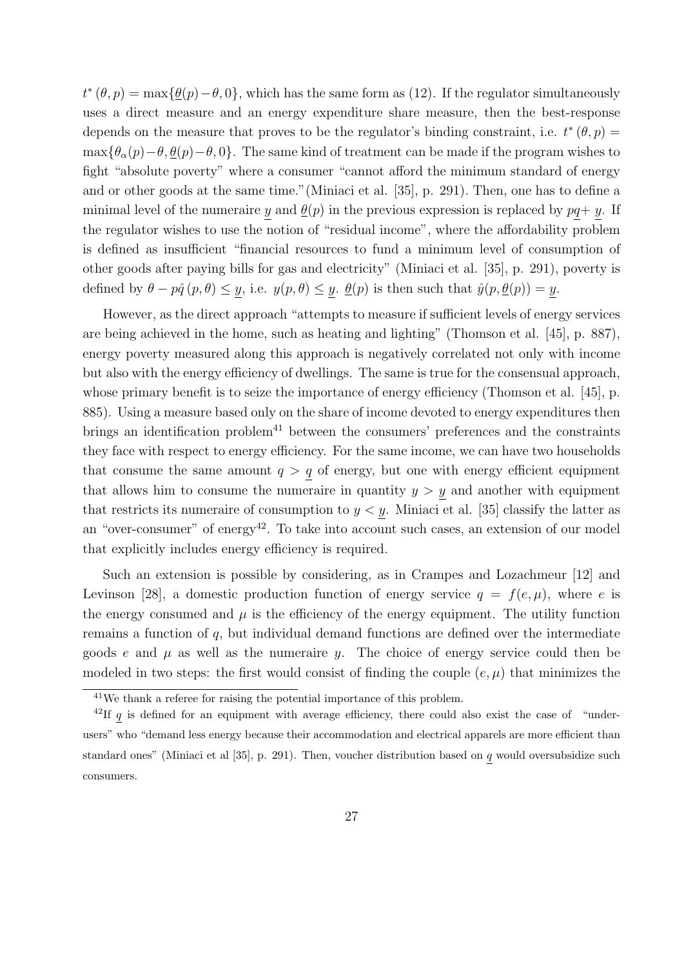$t^*(\theta, p) = \max{\{\theta(p) - \theta, 0\}}$ , which has the same form as (12). If the regulator simultaneously uses a direct measure and an energy expenditure share measure, then the best-response depends on the measure that proves to be the regulator's binding constraint, i.e.  $t^*(\theta, p) =$  $\max{\lbrace \theta_{\alpha}(p)-\theta, \underline{\theta}(p)-\theta, 0 \rbrace}$ . The same kind of treatment can be made if the program wishes to fight "absolute poverty" where a consumer "cannot afford the minimum standard of energy and or other goods at the same time."(Miniaci et al. [35], p. 291). Then, one has to define a minimal level of the numeraire y and  $\underline{\theta}(p)$  in the previous expression is replaced by  $pq+y$ . If the regulator wishes to use the notion of "residual income", where the affordability problem is defined as insufficient "financial resources to fund a minimum level of consumption of other goods after paying bills for gas and electricity" (Miniaci et al. [35], p. 291), poverty is defined by  $\theta - p\hat{q}(p, \theta) \leq \underline{y}$ , i.e.  $y(p, \theta) \leq \underline{y}$ .  $\underline{\theta}(p)$  is then such that  $\hat{y}(p, \underline{\theta}(p)) = \underline{y}$ .

However, as the direct approach "attempts to measure if sufficient levels of energy services are being achieved in the home, such as heating and lighting" (Thomson et al. [45], p. 887), energy poverty measured along this approach is negatively correlated not only with income but also with the energy efficiency of dwellings. The same is true for the consensual approach, whose primary benefit is to seize the importance of energy efficiency (Thomson et al. [45], p. 885). Using a measure based only on the share of income devoted to energy expenditures then brings an identification problem<sup>41</sup> between the consumers' preferences and the constraints they face with respect to energy efficiency. For the same income, we can have two households that consume the same amount  $q > q$  of energy, but one with energy efficient equipment that allows him to consume the numeraire in quantity  $y > y$  and another with equipment that restricts its numeraire of consumption to  $y < y$ . Miniaci et al. [35] classify the latter as an "over-consumer" of energy<sup>42</sup>. To take into account such cases, an extension of our model that explicitly includes energy efficiency is required.

Such an extension is possible by considering, as in Crampes and Lozachmeur [12] and Levinson [28], a domestic production function of energy service  $q = f(e, \mu)$ , where e is the energy consumed and  $\mu$  is the efficiency of the energy equipment. The utility function remains a function of q, but individual demand functions are defined over the intermediate goods e and  $\mu$  as well as the numeraire y. The choice of energy service could then be modeled in two steps: the first would consist of finding the couple  $(e, \mu)$  that minimizes the

<sup>41</sup>We thank a referee for raising the potential importance of this problem.

<sup>&</sup>lt;sup>42</sup>If q is defined for an equipment with average efficiency, there could also exist the case of "underusers" who "demand less energy because their accommodation and electrical apparels are more efficient than standard ones" (Miniaci et al [35], p. 291). Then, voucher distribution based on  $q$  would oversubsidize such consumers.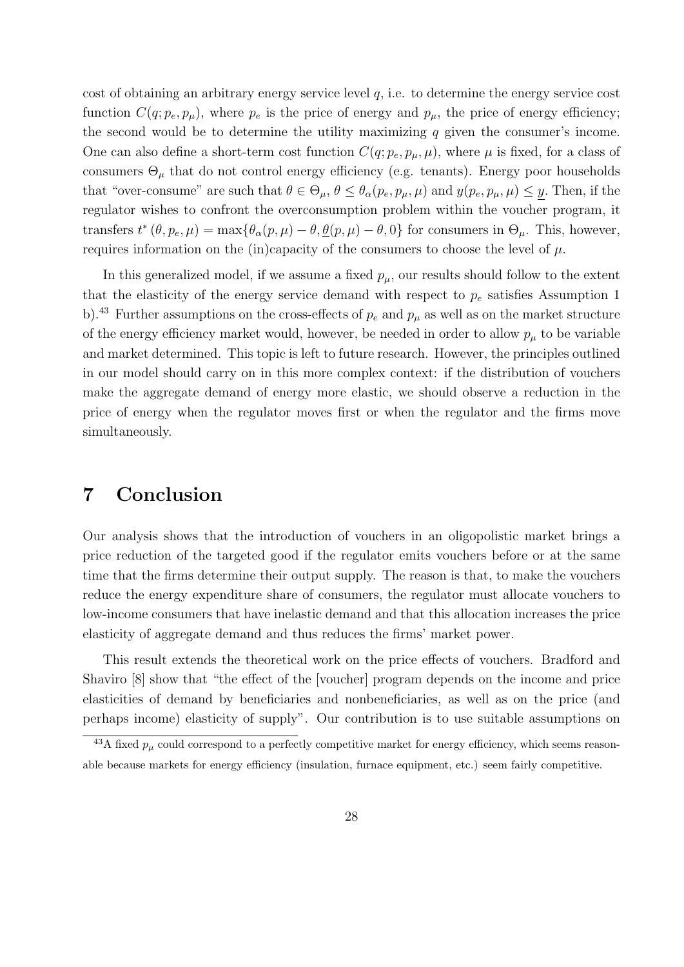cost of obtaining an arbitrary energy service level q, i.e. to determine the energy service cost function  $C(q; p_e, p_\mu)$ , where  $p_e$  is the price of energy and  $p_\mu$ , the price of energy efficiency; the second would be to determine the utility maximizing  $q$  given the consumer's income. One can also define a short-term cost function  $C(q; p_e, p_\mu, \mu)$ , where  $\mu$  is fixed, for a class of consumers  $\Theta_{\mu}$  that do not control energy efficiency (e.g. tenants). Energy poor households that "over-consume" are such that  $\theta \in \Theta_{\mu}$ ,  $\theta \leq \theta_{\alpha}(p_e, p_{\mu}, \mu)$  and  $y(p_e, p_{\mu}, \mu) \leq y$ . Then, if the regulator wishes to confront the overconsumption problem within the voucher program, it transfers  $t^*(\theta, p_e, \mu) = \max{\lbrace \theta_\alpha(p, \mu) - \theta, \underline{\theta}(p, \mu) - \theta, 0 \rbrace}$  for consumers in  $\Theta_\mu$ . This, however, requires information on the (in)capacity of the consumers to choose the level of  $\mu$ .

In this generalized model, if we assume a fixed  $p_{\mu}$ , our results should follow to the extent that the elasticity of the energy service demand with respect to  $p_e$  satisfies Assumption 1 b).<sup>43</sup> Further assumptions on the cross-effects of  $p_e$  and  $p_\mu$  as well as on the market structure of the energy efficiency market would, however, be needed in order to allow  $p_{\mu}$  to be variable and market determined. This topic is left to future research. However, the principles outlined in our model should carry on in this more complex context: if the distribution of vouchers make the aggregate demand of energy more elastic, we should observe a reduction in the price of energy when the regulator moves first or when the regulator and the firms move simultaneously.

## 7 Conclusion

Our analysis shows that the introduction of vouchers in an oligopolistic market brings a price reduction of the targeted good if the regulator emits vouchers before or at the same time that the firms determine their output supply. The reason is that, to make the vouchers reduce the energy expenditure share of consumers, the regulator must allocate vouchers to low-income consumers that have inelastic demand and that this allocation increases the price elasticity of aggregate demand and thus reduces the firms' market power.

This result extends the theoretical work on the price effects of vouchers. Bradford and Shaviro [8] show that "the effect of the [voucher] program depends on the income and price elasticities of demand by beneficiaries and nonbeneficiaries, as well as on the price (and perhaps income) elasticity of supply". Our contribution is to use suitable assumptions on

<sup>&</sup>lt;sup>43</sup>A fixed  $p_{\mu}$  could correspond to a perfectly competitive market for energy efficiency, which seems reasonable because markets for energy efficiency (insulation, furnace equipment, etc.) seem fairly competitive.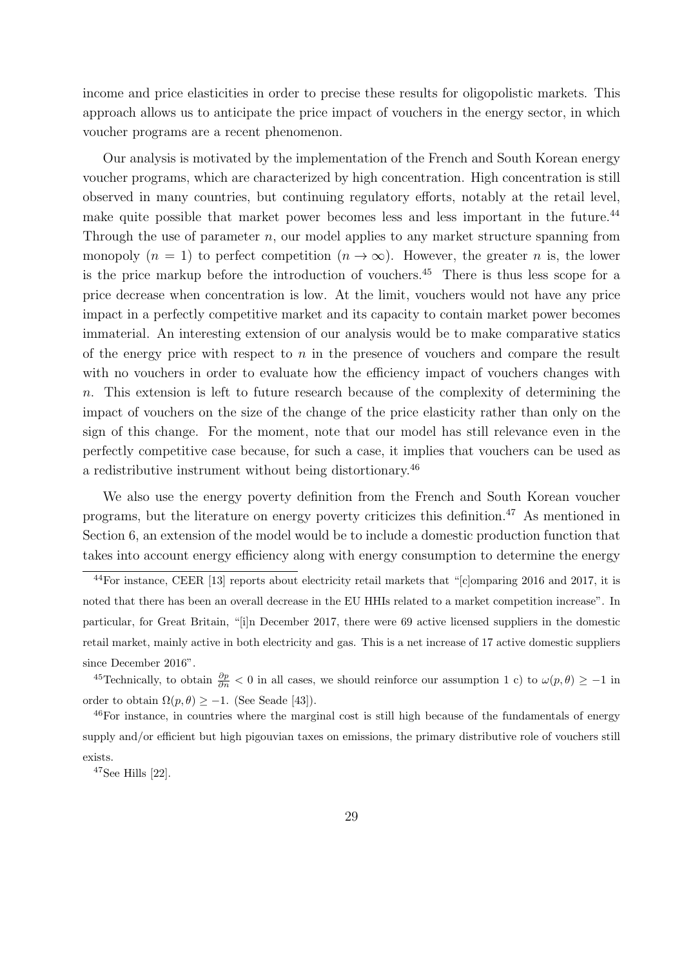income and price elasticities in order to precise these results for oligopolistic markets. This approach allows us to anticipate the price impact of vouchers in the energy sector, in which voucher programs are a recent phenomenon.

Our analysis is motivated by the implementation of the French and South Korean energy voucher programs, which are characterized by high concentration. High concentration is still observed in many countries, but continuing regulatory efforts, notably at the retail level, make quite possible that market power becomes less and less important in the future.<sup>44</sup> Through the use of parameter  $n$ , our model applies to any market structure spanning from monopoly  $(n = 1)$  to perfect competition  $(n \to \infty)$ . However, the greater n is, the lower is the price markup before the introduction of vouchers.<sup>45</sup> There is thus less scope for a price decrease when concentration is low. At the limit, vouchers would not have any price impact in a perfectly competitive market and its capacity to contain market power becomes immaterial. An interesting extension of our analysis would be to make comparative statics of the energy price with respect to  $n$  in the presence of vouchers and compare the result with no vouchers in order to evaluate how the efficiency impact of vouchers changes with n. This extension is left to future research because of the complexity of determining the impact of vouchers on the size of the change of the price elasticity rather than only on the sign of this change. For the moment, note that our model has still relevance even in the perfectly competitive case because, for such a case, it implies that vouchers can be used as a redistributive instrument without being distortionary.<sup>46</sup>

We also use the energy poverty definition from the French and South Korean voucher programs, but the literature on energy poverty criticizes this definition.<sup>47</sup> As mentioned in Section 6, an extension of the model would be to include a domestic production function that takes into account energy efficiency along with energy consumption to determine the energy

<sup>44</sup>For instance, CEER [13] reports about electricity retail markets that "[c]omparing 2016 and 2017, it is noted that there has been an overall decrease in the EU HHIs related to a market competition increase". In particular, for Great Britain, "[i]n December 2017, there were 69 active licensed suppliers in the domestic retail market, mainly active in both electricity and gas. This is a net increase of 17 active domestic suppliers since December 2016".

<sup>&</sup>lt;sup>45</sup>Technically, to obtain  $\frac{\partial p}{\partial n} < 0$  in all cases, we should reinforce our assumption 1 c) to  $\omega(p,\theta) \ge -1$  in order to obtain  $\Omega(p,\theta) \geq -1$ . (See Seade [43]).

<sup>&</sup>lt;sup>46</sup>For instance, in countries where the marginal cost is still high because of the fundamentals of energy supply and/or efficient but high pigouvian taxes on emissions, the primary distributive role of vouchers still exists.

 $47$ See Hills [22].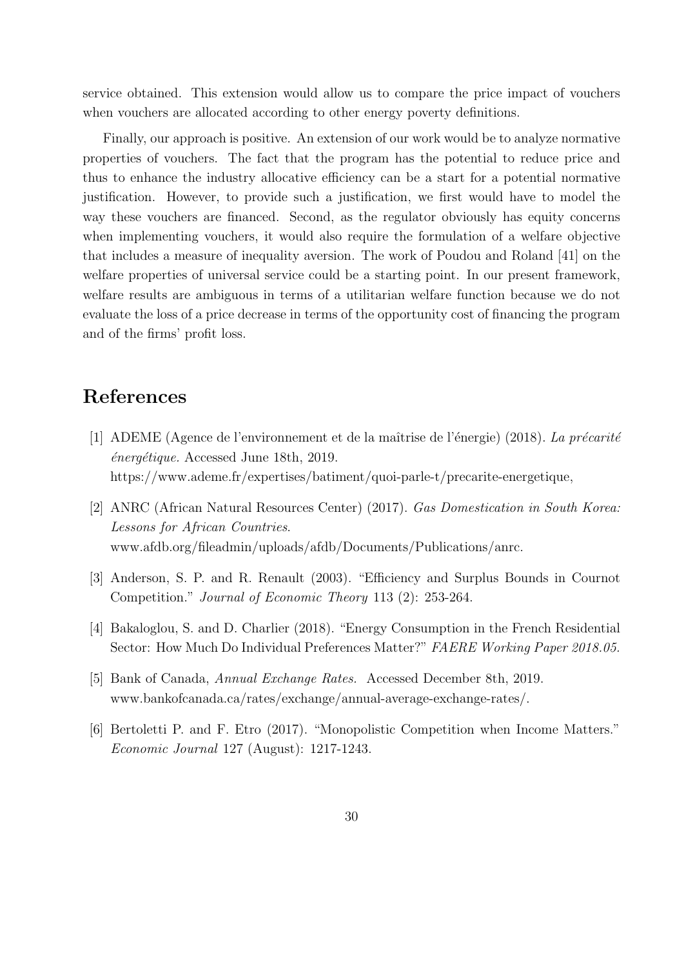service obtained. This extension would allow us to compare the price impact of vouchers when vouchers are allocated according to other energy poverty definitions.

Finally, our approach is positive. An extension of our work would be to analyze normative properties of vouchers. The fact that the program has the potential to reduce price and thus to enhance the industry allocative efficiency can be a start for a potential normative justification. However, to provide such a justification, we first would have to model the way these vouchers are financed. Second, as the regulator obviously has equity concerns when implementing vouchers, it would also require the formulation of a welfare objective that includes a measure of inequality aversion. The work of Poudou and Roland [41] on the welfare properties of universal service could be a starting point. In our present framework, welfare results are ambiguous in terms of a utilitarian welfare function because we do not evaluate the loss of a price decrease in terms of the opportunity cost of financing the program and of the firms' profit loss.

# References

- [1] ADEME (Agence de l'environnement et de la maîtrise de l'énergie) (2018). La précarité  $\acute{e}n$ erg $\acute{e}t$ ique. Accessed June 18th, 2019. https://www.ademe.fr/expertises/batiment/quoi-parle-t/precarite-energetique,
- [2] ANRC (African Natural Resources Center) (2017). Gas Domestication in South Korea: Lessons for African Countries. www.afdb.org/fileadmin/uploads/afdb/Documents/Publications/anrc.
- [3] Anderson, S. P. and R. Renault (2003). "Efficiency and Surplus Bounds in Cournot Competition." Journal of Economic Theory 113 (2): 253-264.
- [4] Bakaloglou, S. and D. Charlier (2018). "Energy Consumption in the French Residential Sector: How Much Do Individual Preferences Matter?" FAERE Working Paper 2018.05.
- [5] Bank of Canada, Annual Exchange Rates. Accessed December 8th, 2019. www.bankofcanada.ca/rates/exchange/annual-average-exchange-rates/.
- [6] Bertoletti P. and F. Etro (2017). "Monopolistic Competition when Income Matters." Economic Journal 127 (August): 1217-1243.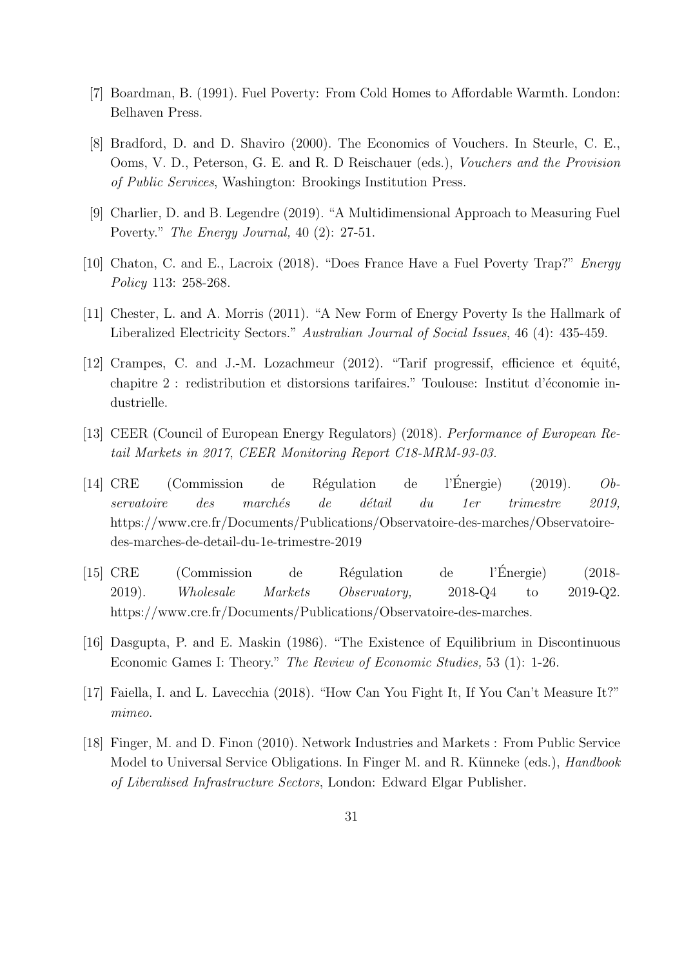- [7] Boardman, B. (1991). Fuel Poverty: From Cold Homes to Affordable Warmth. London: Belhaven Press.
- [8] Bradford, D. and D. Shaviro (2000). The Economics of Vouchers. In Steurle, C. E., Ooms, V. D., Peterson, G. E. and R. D Reischauer (eds.), Vouchers and the Provision of Public Services, Washington: Brookings Institution Press.
- [9] Charlier, D. and B. Legendre (2019). "A Multidimensional Approach to Measuring Fuel Poverty." The Energy Journal, 40 (2): 27-51.
- [10] Chaton, C. and E., Lacroix (2018). "Does France Have a Fuel Poverty Trap?" Energy Policy 113: 258-268.
- [11] Chester, L. and A. Morris (2011). "A New Form of Energy Poverty Is the Hallmark of Liberalized Electricity Sectors." Australian Journal of Social Issues, 46 (4): 435-459.
- [12] Crampes, C. and J.-M. Lozachmeur  $(2012)$ . "Tarif progressif, efficience et équité, chapitre 2 : redistribution et distorsions tarifaires." Toulouse: Institut d'économie industrielle.
- [13] CEER (Council of European Energy Regulators) (2018). Performance of European Retail Markets in 2017, CEER Monitoring Report C18-MRM-93-03.
- [14] CRE (Commission de Régulation de l'Énergie) (2019). Observatoire des marchés de détail du 1er trimestre 2019, https://www.cre.fr/Documents/Publications/Observatoire-des-marches/Observatoiredes-marches-de-detail-du-1e-trimestre-2019
- [15] CRE (Commission de R´egulation de l'Energie) (2018- ´ 2019). Wholesale Markets Observatory, 2018-Q4 to 2019-Q2. https://www.cre.fr/Documents/Publications/Observatoire-des-marches.
- [16] Dasgupta, P. and E. Maskin (1986). "The Existence of Equilibrium in Discontinuous Economic Games I: Theory." The Review of Economic Studies, 53 (1): 1-26.
- [17] Faiella, I. and L. Lavecchia (2018). "How Can You Fight It, If You Can't Measure It?" mimeo.
- [18] Finger, M. and D. Finon (2010). Network Industries and Markets : From Public Service Model to Universal Service Obligations. In Finger M. and R. Künneke (eds.), *Handbook* of Liberalised Infrastructure Sectors, London: Edward Elgar Publisher.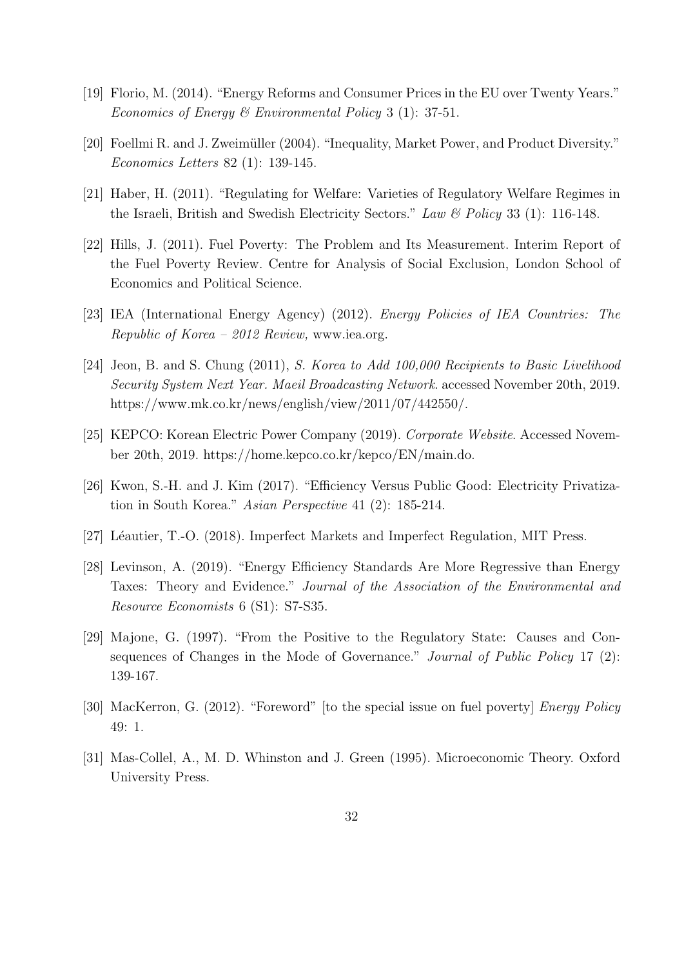- [19] Florio, M. (2014). "Energy Reforms and Consumer Prices in the EU over Twenty Years." Economics of Energy & Environmental Policy 3 (1): 37-51.
- [20] Foellmi R. and J. Zweimüller (2004). "Inequality, Market Power, and Product Diversity." Economics Letters 82 (1): 139-145.
- [21] Haber, H. (2011). "Regulating for Welfare: Varieties of Regulatory Welfare Regimes in the Israeli, British and Swedish Electricity Sectors." Law & Policy 33 (1): 116-148.
- [22] Hills, J. (2011). Fuel Poverty: The Problem and Its Measurement. Interim Report of the Fuel Poverty Review. Centre for Analysis of Social Exclusion, London School of Economics and Political Science.
- [23] IEA (International Energy Agency) (2012). Energy Policies of IEA Countries: The Republic of Korea – 2012 Review, www.iea.org.
- [24] Jeon, B. and S. Chung (2011), S. Korea to Add 100,000 Recipients to Basic Livelihood Security System Next Year. Maeil Broadcasting Network. accessed November 20th, 2019. https://www.mk.co.kr/news/english/view/2011/07/442550/.
- [25] KEPCO: Korean Electric Power Company (2019). Corporate Website. Accessed November 20th, 2019. https://home.kepco.co.kr/kepco/EN/main.do.
- [26] Kwon, S.-H. and J. Kim (2017). "Efficiency Versus Public Good: Electricity Privatization in South Korea." Asian Perspective 41 (2): 185-214.
- [27] Léautier, T.-O. (2018). Imperfect Markets and Imperfect Regulation, MIT Press.
- [28] Levinson, A. (2019). "Energy Efficiency Standards Are More Regressive than Energy Taxes: Theory and Evidence." Journal of the Association of the Environmental and Resource Economists 6 (S1): S7-S35.
- [29] Majone, G. (1997). "From the Positive to the Regulatory State: Causes and Consequences of Changes in the Mode of Governance." *Journal of Public Policy* 17 (2): 139-167.
- [30] MacKerron, G. (2012). "Foreword" [to the special issue on fuel poverty] Energy Policy 49: 1.
- [31] Mas-Collel, A., M. D. Whinston and J. Green (1995). Microeconomic Theory. Oxford University Press.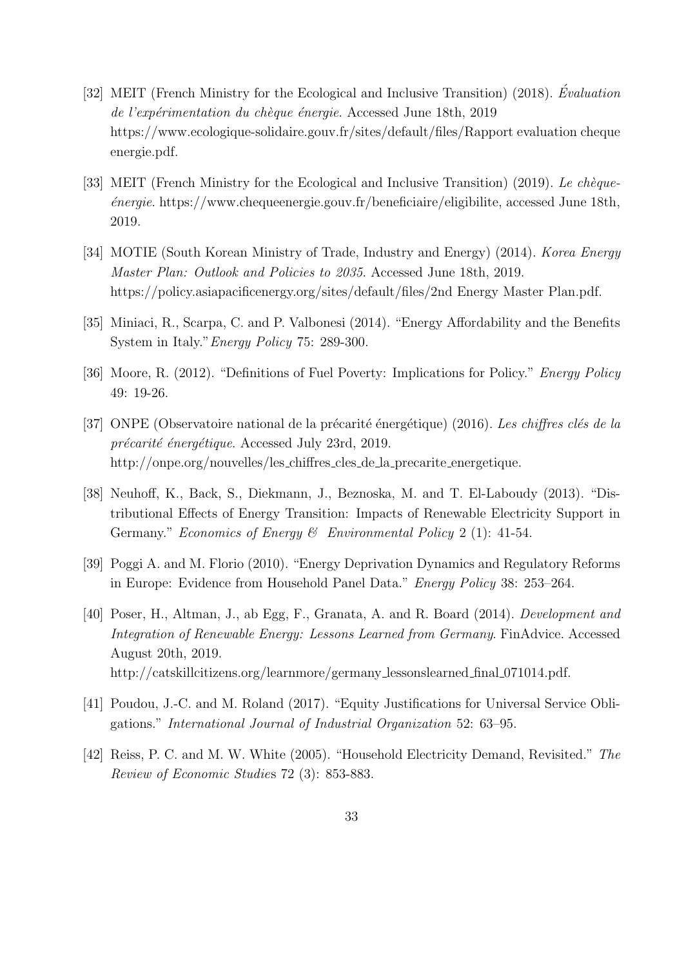- [32] MEIT (French Ministry for the Ecological and Inclusive Transition) (2018). Evaluation de l'expérimentation du chèque énergie. Accessed June 18th, 2019 https://www.ecologique-solidaire.gouv.fr/sites/default/files/Rapport evaluation cheque energie.pdf.
- [33] MEIT (French Ministry for the Ecological and Inclusive Transition) (2019). Le chèque- $\acute{e}n$ ergie. https://www.chequeenergie.gouv.fr/beneficiaire/eligibilite, accessed June 18th, 2019.
- [34] MOTIE (South Korean Ministry of Trade, Industry and Energy) (2014). Korea Energy Master Plan: Outlook and Policies to 2035. Accessed June 18th, 2019. https://policy.asiapacificenergy.org/sites/default/files/2nd Energy Master Plan.pdf.
- [35] Miniaci, R., Scarpa, C. and P. Valbonesi (2014). "Energy Affordability and the Benefits System in Italy."Energy Policy 75: 289-300.
- [36] Moore, R. (2012). "Definitions of Fuel Poverty: Implications for Policy." Energy Policy 49: 19-26.
- [37] ONPE (Observatoire national de la précarité énergétique) (2016). Les chiffres clés de la précarité énergétique. Accessed July 23rd, 2019. http://onpe.org/nouvelles/les\_chiffres\_cles\_de\_la\_precarite\_energetique.
- [38] Neuhoff, K., Back, S., Diekmann, J., Beznoska, M. and T. El-Laboudy (2013). "Distributional Effects of Energy Transition: Impacts of Renewable Electricity Support in Germany." Economics of Energy & Environmental Policy 2 (1): 41-54.
- [39] Poggi A. and M. Florio (2010). "Energy Deprivation Dynamics and Regulatory Reforms in Europe: Evidence from Household Panel Data." Energy Policy 38: 253–264.
- [40] Poser, H., Altman, J., ab Egg, F., Granata, A. and R. Board (2014). Development and Integration of Renewable Energy: Lessons Learned from Germany. FinAdvice. Accessed August 20th, 2019. http://catskillcitizens.org/learnmore/germany\_lessonslearned\_final\_071014.pdf.
- [41] Poudou, J.-C. and M. Roland (2017). "Equity Justifications for Universal Service Obligations." International Journal of Industrial Organization 52: 63–95.
- [42] Reiss, P. C. and M. W. White (2005). "Household Electricity Demand, Revisited." The Review of Economic Studies 72 (3): 853-883.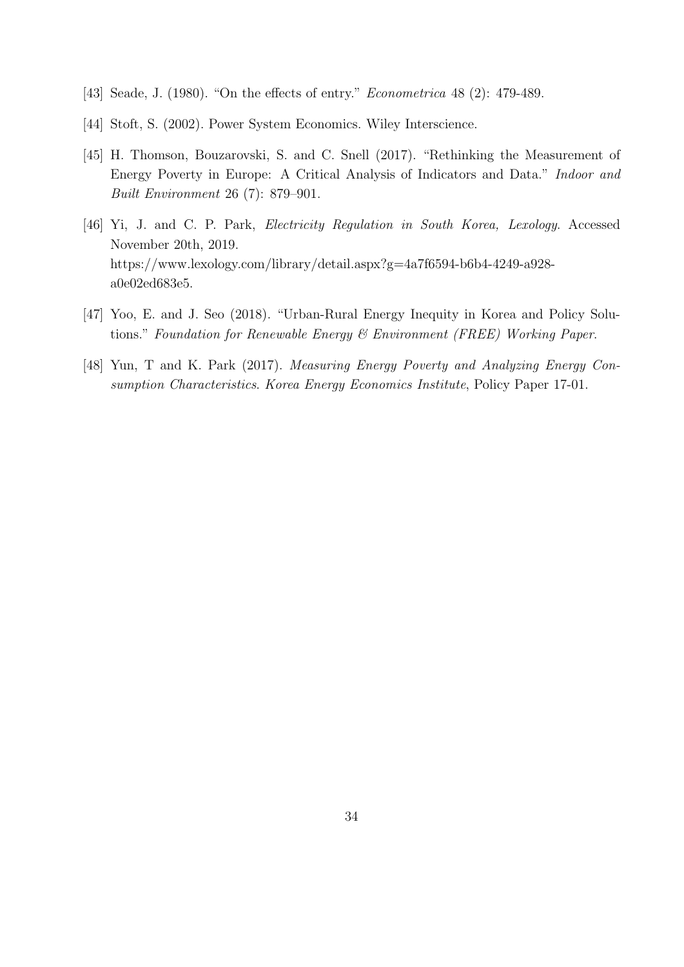- [43] Seade, J. (1980). "On the effects of entry." *Econometrica* 48 (2): 479-489.
- [44] Stoft, S. (2002). Power System Economics. Wiley Interscience.
- [45] H. Thomson, Bouzarovski, S. and C. Snell (2017). "Rethinking the Measurement of Energy Poverty in Europe: A Critical Analysis of Indicators and Data." Indoor and Built Environment 26 (7): 879–901.
- [46] Yi, J. and C. P. Park, *Electricity Regulation in South Korea, Lexology*. Accessed November 20th, 2019. https://www.lexology.com/library/detail.aspx?g=4a7f6594-b6b4-4249-a928 a0e02ed683e5.
- [47] Yoo, E. and J. Seo (2018). "Urban-Rural Energy Inequity in Korea and Policy Solutions." Foundation for Renewable Energy & Environment (FREE) Working Paper.
- [48] Yun, T and K. Park (2017). Measuring Energy Poverty and Analyzing Energy Consumption Characteristics. Korea Energy Economics Institute, Policy Paper 17-01.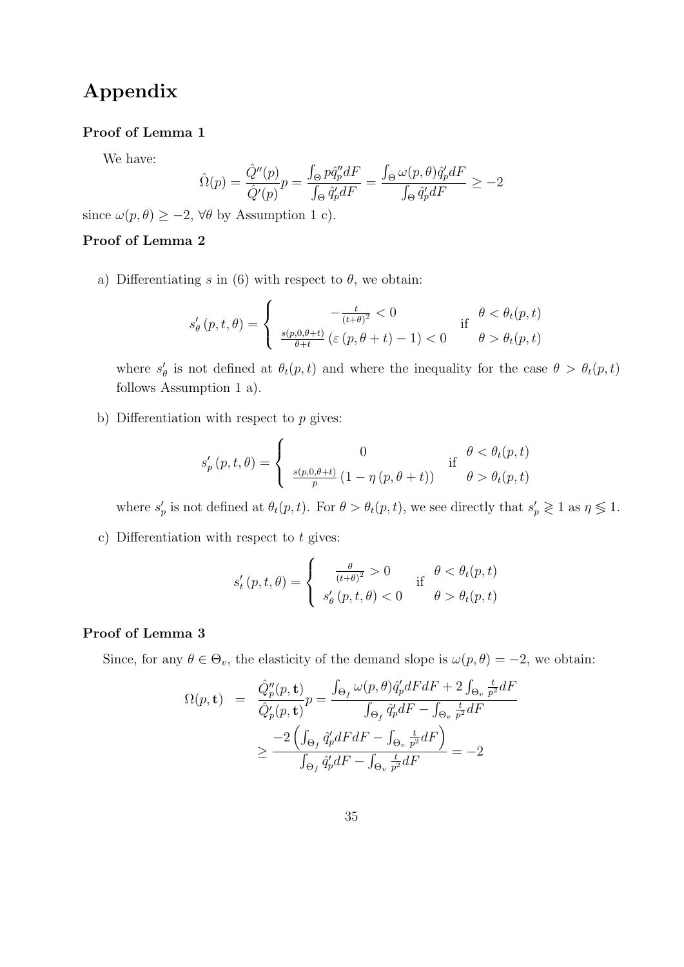# Appendix

#### Proof of Lemma 1

We have:

$$
\hat{\Omega}(p) = \frac{\hat{Q}''(p)}{\hat{Q}'(p)}p = \frac{\int_{\Theta} p\hat{q}''_p dF}{\int_{\Theta} \hat{q}'_p dF} = \frac{\int_{\Theta} \omega(p,\theta)\hat{q}'_p dF}{\int_{\Theta} \hat{q}'_p dF} \ge -2
$$

since  $\omega(p, \theta) \ge -2$ ,  $\forall \theta$  by Assumption 1 c).

#### Proof of Lemma 2

a) Differentiating s in (6) with respect to  $\theta$ , we obtain:

$$
s'_{\theta}(p,t,\theta) = \begin{cases} \n-\frac{t}{(t+\theta)^2} < 0 \\
\frac{s(p,0,\theta+t)}{\theta+t} \left(\varepsilon\left(p,\theta+t\right)-1\right) < 0 \n\end{cases} \quad \text{if} \quad \theta < \theta_t(p,t)
$$

where  $s'_\theta$  is not defined at  $\theta_t(p,t)$  and where the inequality for the case  $\theta > \theta_t(p,t)$ follows Assumption 1 a).

b) Differentiation with respect to  $p$  gives:

$$
s'_{p}(p,t,\theta) = \begin{cases} 0 & \text{if } \theta < \theta_{t}(p,t) \\ \frac{s(p,0,\theta+t)}{p} (1 - \eta(p,\theta+t)) & \text{if } \theta > \theta_{t}(p,t) \end{cases}
$$

where  $s'_p$  is not defined at  $\theta_t(p,t)$ . For  $\theta > \theta_t(p,t)$ , we see directly that  $s'_p \geq 1$  as  $\eta \leq 1$ .

c) Differentiation with respect to  $t$  gives:

$$
s'_t(p, t, \theta) = \begin{cases} \frac{\theta}{(t+\theta)^2} > 0 & \text{if } \theta < \theta_t(p, t) \\ s'_\theta(p, t, \theta) < 0 & \theta > \theta_t(p, t) \end{cases}
$$

#### Proof of Lemma 3

Since, for any  $\theta \in \Theta_v$ , the elasticity of the demand slope is  $\omega(p, \theta) = -2$ , we obtain:

$$
\Omega(p, \mathbf{t}) = \frac{\hat{Q}_p''(p, \mathbf{t})}{\hat{Q}_p'(p, \mathbf{t})} p = \frac{\int_{\Theta_f} \omega(p, \theta) \hat{q}_p' dF dF + 2 \int_{\Theta_v} \frac{t}{p^2} dF}{\int_{\Theta_f} \hat{q}_p' dF - \int_{\Theta_v} \frac{t}{p^2} dF}
$$

$$
\geq \frac{-2 \left( \int_{\Theta_f} \hat{q}_p' dF dF - \int_{\Theta_v} \frac{t}{p^2} dF \right)}{\int_{\Theta_f} \hat{q}_p' dF - \int_{\Theta_v} \frac{t}{p^2} dF} = -2
$$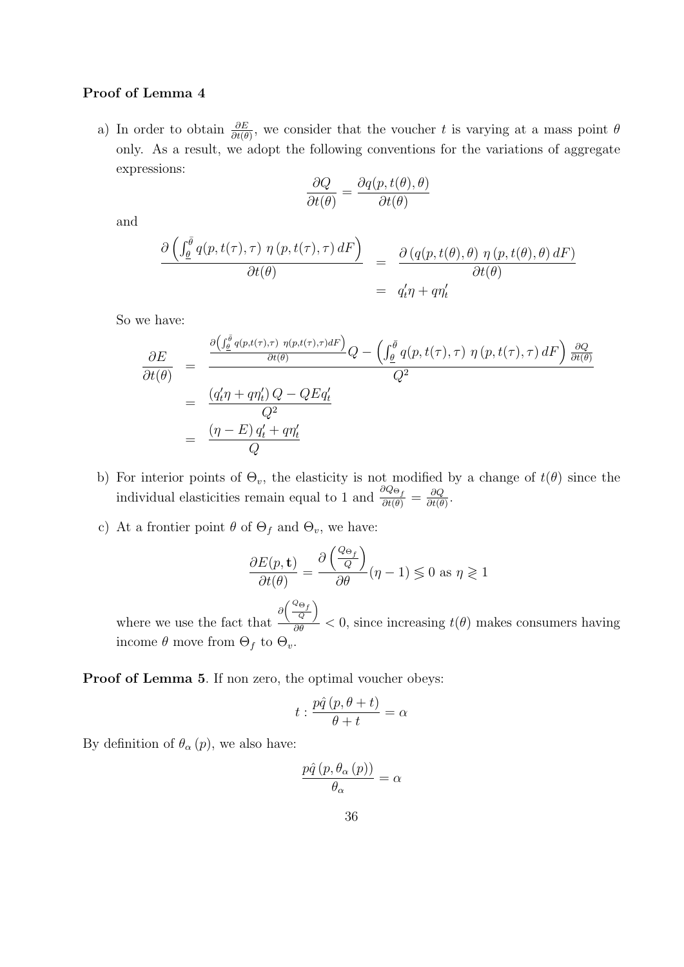#### Proof of Lemma 4

a) In order to obtain  $\frac{\partial E}{\partial t(\theta)}$ , we consider that the voucher t is varying at a mass point  $\theta$ only. As a result, we adopt the following conventions for the variations of aggregate expressions:

$$
\frac{\partial Q}{\partial t(\theta)} = \frac{\partial q(p, t(\theta), \theta)}{\partial t(\theta)}
$$

and

$$
\frac{\partial \left( \int_{\underline{\theta}}^{\overline{\theta}} q(p, t(\tau), \tau) \eta(p, t(\tau), \tau) dF \right)}{\partial t(\theta)} = \frac{\partial (q(p, t(\theta), \theta) \eta(p, t(\theta), \theta) dF)}{\partial t(\theta)} = q'_t \eta + q \eta'_t
$$

So we have:

$$
\frac{\partial E}{\partial t(\theta)} = \frac{\frac{\partial \left(\int_{\theta}^{\overline{\theta}} q(p,t(\tau),\tau) \ \eta(p,t(\tau),\tau) dF\right)}{\partial t(\theta)} Q - \left(\int_{\theta}^{\overline{\theta}} q(p,t(\tau),\tau) \ \eta(p,t(\tau),\tau) dF\right) \frac{\partial Q}{\partial t(\theta)}}{Q^2}
$$
\n
$$
= \frac{\left(q_t'\eta + q\eta_t'\right) Q - QEq_t'}{Q^2}
$$
\n
$$
= \frac{\left(\eta - E\right)q_t' + q\eta_t'}{Q}
$$

- b) For interior points of  $\Theta_v$ , the elasticity is not modified by a change of  $t(\theta)$  since the individual elasticities remain equal to 1 and  $\frac{\partial Q_{\Theta_f}}{\partial t(\theta)} = \frac{\partial Q}{\partial t(\theta)}$  $\frac{\partial Q}{\partial t(\theta)}$ .
- c) At a frontier point  $\theta$  of  $\Theta_f$  and  $\Theta_v$ , we have:

$$
\frac{\partial E(p, \mathbf{t})}{\partial t(\theta)} = \frac{\partial \left(\frac{Q_{\Theta_f}}{Q}\right)}{\partial \theta} (\eta - 1) \lessgtr 0 \text{ as } \eta \gtrless 1
$$

where we use the fact that  $\partial \left( \frac{Q_{\Theta_f}}{Q} \right)$ λ  $\frac{q}{\partial \theta}$  < 0, since increasing  $t(\theta)$  makes consumers having income  $\theta$  move from  $\Theta_f$  to  $\Theta_v$ .

Proof of Lemma 5. If non zero, the optimal voucher obeys:

$$
t:\frac{p\hat{q}\left(p,\theta+t\right)}{\theta+t}=\alpha
$$

By definition of  $\theta_{\alpha}(p)$ , we also have:

$$
\frac{p\hat{q}\left(p,\theta_{\alpha}\left(p\right)\right)}{\theta_{\alpha}}=\alpha
$$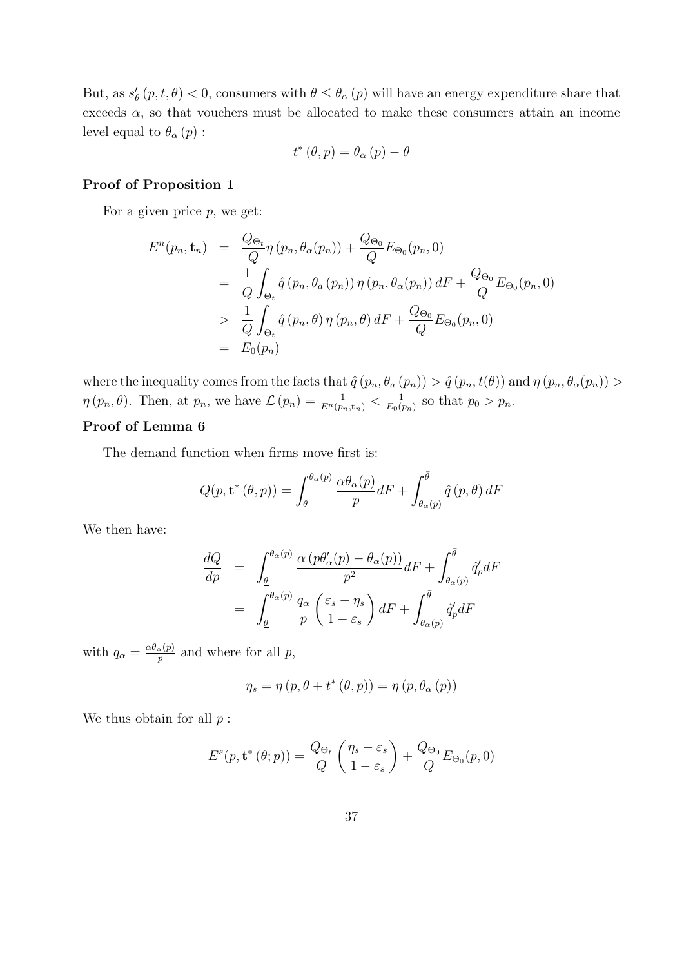But, as  $s'_{\theta}(p, t, \theta) < 0$ , consumers with  $\theta \leq \theta_{\alpha}(p)$  will have an energy expenditure share that exceeds  $\alpha$ , so that vouchers must be allocated to make these consumers attain an income level equal to  $\theta_{\alpha}(p)$ :

$$
t^{\ast}\left( \theta,p\right) =\theta_{\alpha}\left( p\right) -\theta
$$

### Proof of Proposition 1

For a given price  $p$ , we get:

$$
E^{n}(p_{n}, \mathbf{t}_{n}) = \frac{Q_{\Theta_{t}}}{Q} \eta(p_{n}, \theta_{\alpha}(p_{n})) + \frac{Q_{\Theta_{0}}}{Q} E_{\Theta_{0}}(p_{n}, 0)
$$
  
\n
$$
= \frac{1}{Q} \int_{\Theta_{t}} \hat{q}(p_{n}, \theta_{\alpha}(p_{n})) \eta(p_{n}, \theta_{\alpha}(p_{n})) dF + \frac{Q_{\Theta_{0}}}{Q} E_{\Theta_{0}}(p_{n}, 0)
$$
  
\n
$$
> \frac{1}{Q} \int_{\Theta_{t}} \hat{q}(p_{n}, \theta) \eta(p_{n}, \theta) dF + \frac{Q_{\Theta_{0}}}{Q} E_{\Theta_{0}}(p_{n}, 0)
$$
  
\n
$$
= E_{0}(p_{n})
$$

where the inequality comes from the facts that  $\hat{q}(p_n, \theta_a(p_n)) > \hat{q}(p_n, t(\theta))$  and  $\eta(p_n, \theta_a(p_n)) >$  $\eta(p_n, \theta)$ . Then, at  $p_n$ , we have  $\mathcal{L}(p_n) = \frac{1}{E^n(p_n, \mathbf{t}_n)} < \frac{1}{E_0(p_n)}$  $\frac{1}{E_0(p_n)}$  so that  $p_0 > p_n$ .

### Proof of Lemma 6

The demand function when firms move first is:

$$
Q(p, \mathbf{t}^*(\theta, p)) = \int_{\underline{\theta}}^{\theta_{\alpha}(p)} \frac{\alpha \theta_{\alpha}(p)}{p} dF + \int_{\theta_{\alpha}(p)}^{\overline{\theta}} \hat{q}(p, \theta) dF
$$

We then have:

$$
\frac{dQ}{dp} = \int_{\underline{\theta}}^{\theta_{\alpha}(p)} \frac{\alpha (p\theta'_{\alpha}(p) - \theta_{\alpha}(p))}{p^2} dF + \int_{\theta_{\alpha}(p)}^{\overline{\theta}} \hat{q}'_{p} dF
$$

$$
= \int_{\underline{\theta}}^{\theta_{\alpha}(p)} \frac{q_{\alpha}}{p} \left(\frac{\varepsilon_{s} - \eta_{s}}{1 - \varepsilon_{s}}\right) dF + \int_{\theta_{\alpha}(p)}^{\overline{\theta}} \hat{q}'_{p} dF
$$

with  $q_{\alpha} = \frac{\alpha \theta_{\alpha}(p)}{p}$  $_p^{\alpha(p)}$  and where for all p,

$$
\eta_s = \eta (p, \theta + t^* (\theta, p)) = \eta (p, \theta_\alpha (p))
$$

We thus obtain for all  $p$ :

$$
E^{s}(p, \mathbf{t}^{*}(\theta; p)) = \frac{Q_{\Theta_{t}}}{Q} \left( \frac{\eta_{s} - \varepsilon_{s}}{1 - \varepsilon_{s}} \right) + \frac{Q_{\Theta_{0}}}{Q} E_{\Theta_{0}}(p, 0)
$$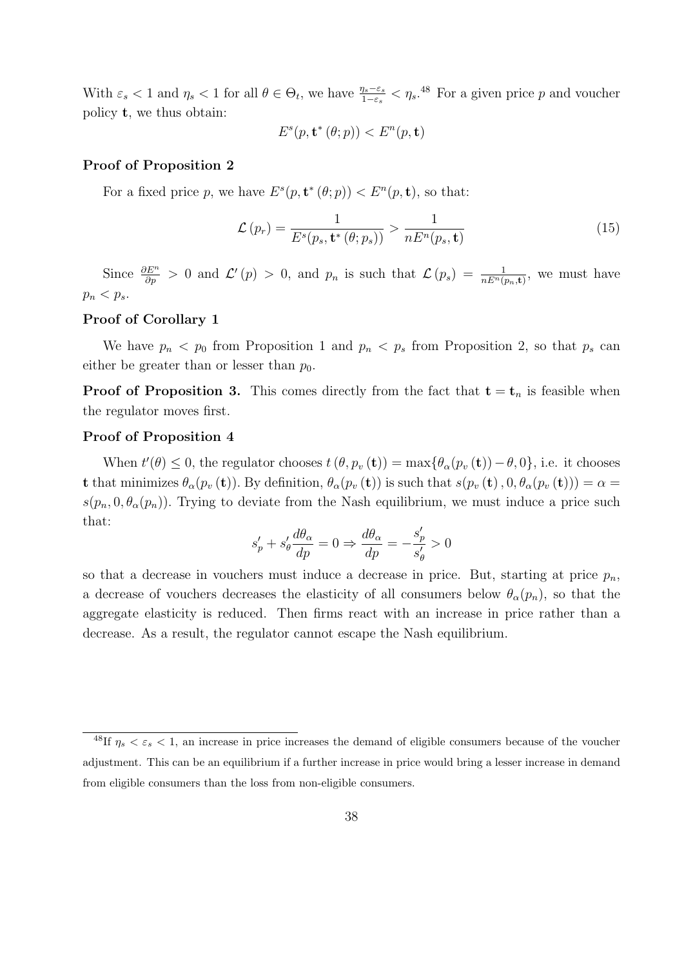With  $\varepsilon_s$  < 1 and  $\eta_s$  < 1 for all  $\theta \in \Theta_t$ , we have  $\frac{\eta_s - \varepsilon_s}{1 - \varepsilon_s}$   $\lt \eta_s$ .<sup>48</sup> For a given price p and voucher policy t, we thus obtain:

$$
E^s(p, \mathbf{t}^*(\theta; p)) < E^n(p, \mathbf{t})
$$

#### Proof of Proposition 2

For a fixed price p, we have  $E^s(p, \mathbf{t}^*(\theta; p)) < E^{\mathfrak{n}}(p, \mathbf{t})$ , so that:

$$
\mathcal{L}(p_r) = \frac{1}{E^s(p_s, \mathbf{t}^*(\theta; p_s))} > \frac{1}{nE^n(p_s, \mathbf{t})}
$$
(15)

Since  $\frac{\partial E^n}{\partial p} > 0$  and  $\mathcal{L}'(p) > 0$ , and  $p_n$  is such that  $\mathcal{L}(p_s) = \frac{1}{n E^n(p_n, t)}$ , we must have  $p_n < p_s$ .

#### Proof of Corollary 1

We have  $p_n < p_0$  from Proposition 1 and  $p_n < p_s$  from Proposition 2, so that  $p_s$  can either be greater than or lesser than  $p_0$ .

**Proof of Proposition 3.** This comes directly from the fact that  $t = t_n$  is feasible when the regulator moves first.

#### Proof of Proposition 4

When  $t'(\theta) \leq 0$ , the regulator chooses  $t(\theta, p_v(\mathbf{t})) = \max{\{\theta_\alpha(p_v(\mathbf{t})) - \theta, 0\}}$ , i.e. it chooses **t** that minimizes  $\theta_{\alpha}(p_v(\mathbf{t}))$ . By definition,  $\theta_{\alpha}(p_v(\mathbf{t}))$  is such that  $s(p_v(\mathbf{t}), 0, \theta_{\alpha}(p_v(\mathbf{t}))) = \alpha$  $s(p_n, 0, \theta_\alpha(p_n))$ . Trying to deviate from the Nash equilibrium, we must induce a price such that:

$$
s'_p + s'_\theta \frac{d\theta_\alpha}{dp} = 0 \Rightarrow \frac{d\theta_\alpha}{dp} = -\frac{s'_p}{s'_\theta} > 0
$$

so that a decrease in vouchers must induce a decrease in price. But, starting at price  $p_n$ , a decrease of vouchers decreases the elasticity of all consumers below  $\theta_{\alpha}(p_n)$ , so that the aggregate elasticity is reduced. Then firms react with an increase in price rather than a decrease. As a result, the regulator cannot escape the Nash equilibrium.

<sup>&</sup>lt;sup>48</sup>If  $\eta_s < \varepsilon_s < 1$ , an increase in price increases the demand of eligible consumers because of the voucher adjustment. This can be an equilibrium if a further increase in price would bring a lesser increase in demand from eligible consumers than the loss from non-eligible consumers.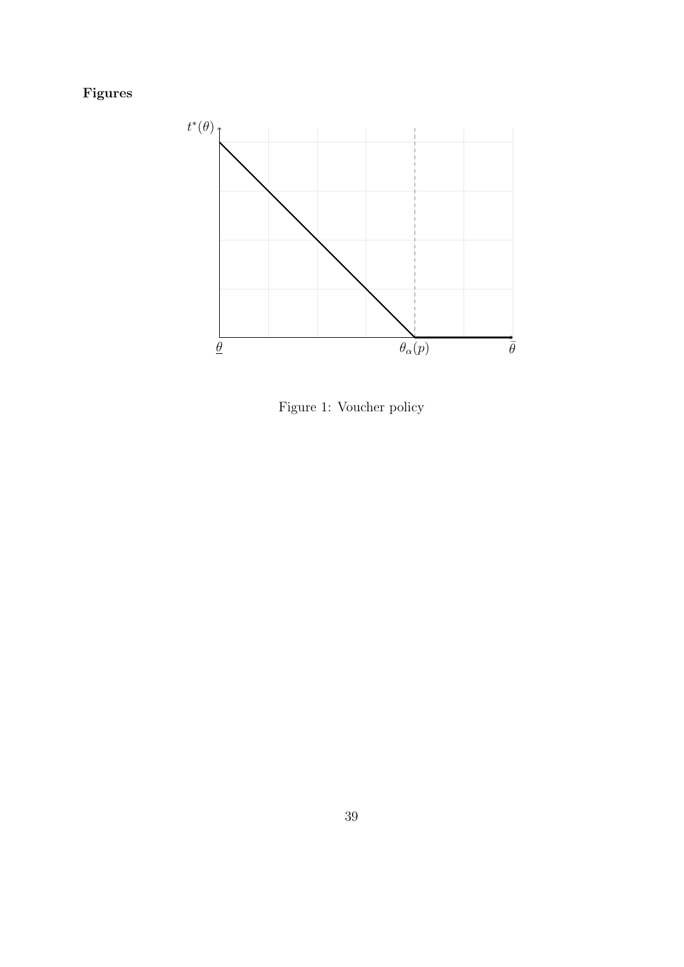# Figures



Figure 1: Voucher policy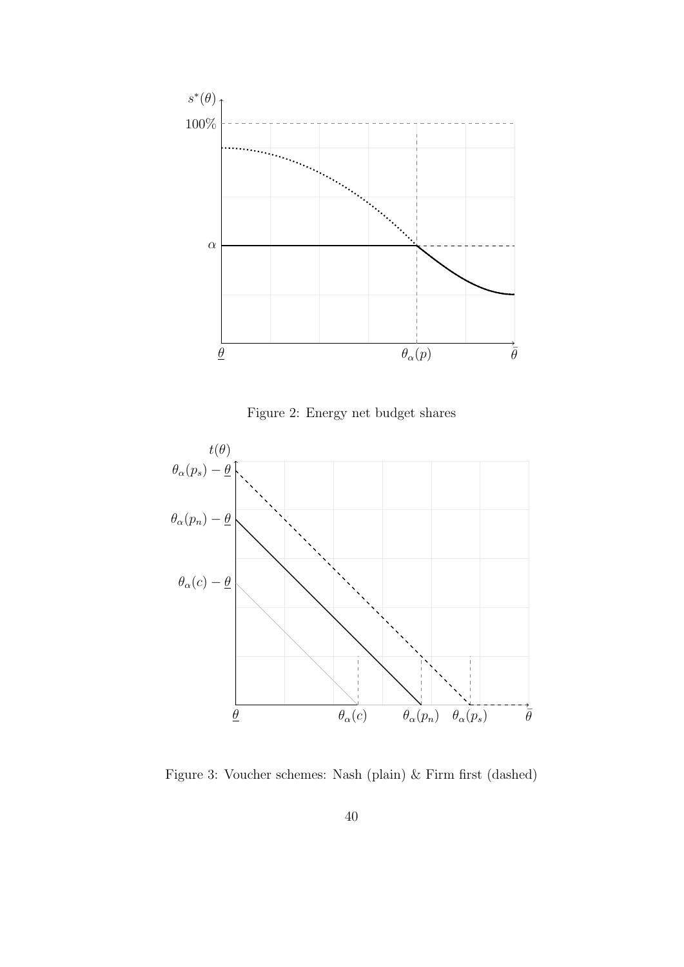

Figure 2: Energy net budget shares



Figure 3: Voucher schemes: Nash (plain) & Firm first (dashed)